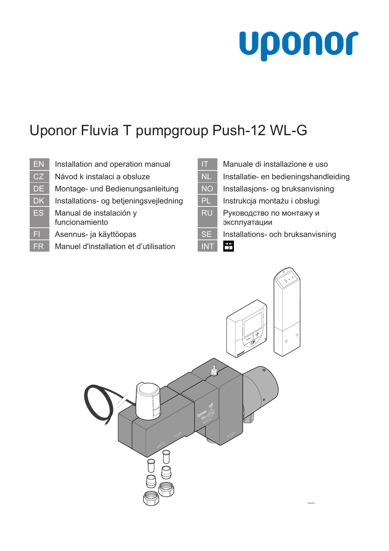# Uponor

## Uponor Fluvia T pumpgroup Push-12 WL-G

| EN |
|----|
| CZ |
| DE |
| DK |
| ES |
| Ħ  |
| FR |

Installation and operation manual **IT** Manuale di installazione e uso Installations- og betjeningsvejledning PL Instrukcja montażu i obsługi Manual de instalación y funcionamiento Manuel d'installation et d'utilisation

| lī.                      | Μa  |
|--------------------------|-----|
| <b>NL</b>                | lns |
| ÑQ                       | lns |
| PL                       | lns |
| RU                       | Py  |
|                          | ЭΚ  |
| $\overline{\mathsf{SE}}$ | Ins |
| <b>INT</b>               | PŞ  |
|                          |     |

- Návod k instalaci a obsluze NL Installatie- en bedieningshandleiding
- Montage- und Bedienungsanleitung NO Installasjons- og bruksanvisning
	-
	- */ководство по монтажу и* сплуатации
- Asennus- ja käyttöopas SE Installations- och bruksanvisning

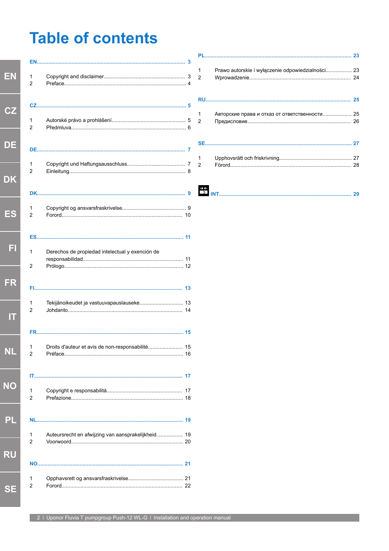## **Table of contents**

日

 $\mathbf C$ 

D

D

E

E

N

N<sub>C</sub>

F

R

S

| 1<br>$\overline{2}$ |                                                    |
|---------------------|----------------------------------------------------|
|                     |                                                    |
| 1<br>$\overline{2}$ |                                                    |
|                     |                                                    |
| 1<br>2              |                                                    |
|                     |                                                    |
| 1<br>2              |                                                    |
|                     |                                                    |
| 1<br>2              | Derechos de propiedad intelectual y exención de    |
|                     |                                                    |
| 1<br>2              | Tekijänoikeudet ja vastuuvapauslauseke 13          |
|                     |                                                    |
| 1<br>2              | Droits d'auteur et avis de non-responsabilité 15   |
|                     | IT                                                 |
| 1<br>$\overline{2}$ |                                                    |
|                     |                                                    |
| 1<br>2              | Auteursrecht en afwijzing van aansprakelijkheid 19 |
|                     |                                                    |
| 1<br>2              |                                                    |

| PI.         |                                                   | 23 |
|-------------|---------------------------------------------------|----|
| $\mathbf 1$ | Prawo autorskie i wyłączenie odpowiedzialności 23 |    |
| 2           |                                                   |    |
|             |                                                   | 25 |
|             |                                                   |    |
| 1           | Авторские права и отказ от ответственности 25     |    |
| 2           |                                                   |    |
|             |                                                   |    |
|             |                                                   |    |
| 1           |                                                   |    |
| ◠           | $\Box$                                            | റഠ |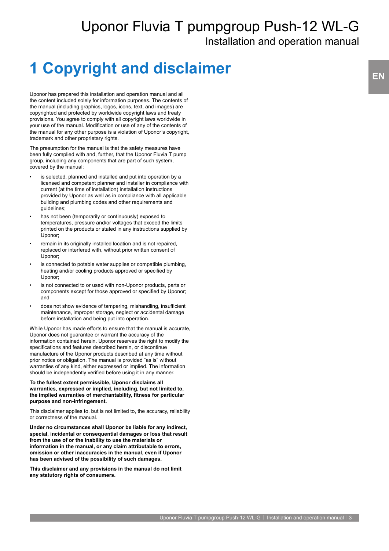### Uponor Fluvia T pumpgroup Push-12 WL-G Installation and operation manual

## <span id="page-2-0"></span>**1 Copyright and disclaimer**

Uponor has prepared this installation and operation manual and all the content included solely for information purposes. The contents of the manual (including graphics, logos, icons, text, and images) are copyrighted and protected by worldwide copyright laws and treaty provisions. You agree to comply with all copyright laws worldwide in your use of the manual. Modification or use of any of the contents of the manual for any other purpose is a violation of Uponor's copyright, trademark and other proprietary rights.

The presumption for the manual is that the safety measures have been fully complied with and, further, that the Uponor Fluvia T pump group, including any components that are part of such system, covered by the manual:

- is selected, planned and installed and put into operation by a licensed and competent planner and installer in compliance with current (at the time of installation) installation instructions provided by Uponor as well as in compliance with all applicable building and plumbing codes and other requirements and guidelines;
- has not been (temporarily or continuously) exposed to temperatures, pressure and/or voltages that exceed the limits printed on the products or stated in any instructions supplied by Uponor;
- remain in its originally installed location and is not repaired, replaced or interfered with, without prior written consent of Uponor;
- is connected to potable water supplies or compatible plumbing, heating and/or cooling products approved or specified by Uponor;
- is not connected to or used with non-Uponor products, parts or components except for those approved or specified by Uponor; and
- does not show evidence of tampering, mishandling, insufficient maintenance, improper storage, neglect or accidental damage before installation and being put into operation.

While Uponor has made efforts to ensure that the manual is accurate, Uponor does not guarantee or warrant the accuracy of the information contained herein. Uponor reserves the right to modify the specifications and features described herein, or discontinue manufacture of the Uponor products described at any time without prior notice or obligation. The manual is provided "as is" without warranties of any kind, either expressed or implied. The information should be independently verified before using it in any manner.

#### **To the fullest extent permissible, Uponor disclaims all warranties, expressed or implied, including, but not limited to, the implied warranties of merchantability, fitness for particular purpose and non-infringement.**

This disclaimer applies to, but is not limited to, the accuracy, reliability or correctness of the manual.

**Under no circumstances shall Uponor be liable for any indirect, special, incidental or consequential damages or loss that result from the use of or the inability to use the materials or information in the manual, or any claim attributable to errors, omission or other inaccuracies in the manual, even if Uponor has been advised of the possibility of such damages.**

**This disclaimer and any provisions in the manual do not limit any statutory rights of consumers.**

**EN**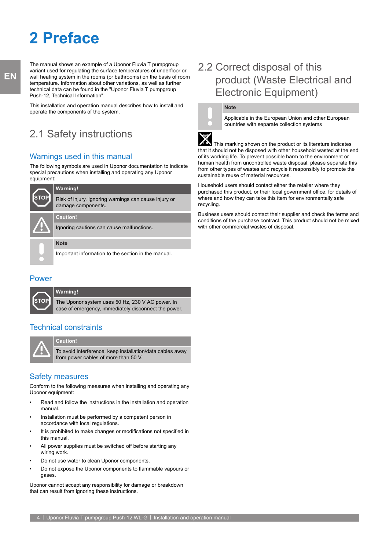## <span id="page-3-0"></span>**2 Preface**

The manual shows an example of a Uponor Fluvia T pumpgroup variant used for regulating the surface temperatures of underfloor or wall heating system in the rooms (or bathrooms) on the basis of room temperature. Information about other variations, as well as further technical data can be found in the "Uponor Fluvia T pumpgroup Push-12, Technical Information".

This installation and operation manual describes how to install and operate the components of the system.

### 2.1 Safety instructions

### Warnings used in this manual

The following symbols are used in Uponor documentation to indicate special precautions when installing and operating any Uponor equipment:

| STOP | <b>Warning!</b>                                                             |
|------|-----------------------------------------------------------------------------|
|      | Risk of injury. Ignoring warnings can cause injury or<br>damage components. |
|      | <b>Caution!</b>                                                             |
|      | Ignoring cautions can cause malfunctions.                                   |
|      | <b>Note</b>                                                                 |
|      | Important information to the section in the manual.                         |

### Power



### **Warning!**

The Uponor system uses 50 Hz, 230 V AC power. In case of emergency, immediately disconnect the power.

### Technical constraints



#### **Caution!**

To avoid interference, keep installation/data cables away from power cables of more than 50 V.

### Safety measures

Conform to the following measures when installing and operating any Uponor equipment:

- Read and follow the instructions in the installation and operation manual.
- Installation must be performed by a competent person in accordance with local regulations.
- It is prohibited to make changes or modifications not specified in this manual.
- All power supplies must be switched off before starting any wiring work.
- Do not use water to clean Uponor components.
- Do not expose the Uponor components to flammable vapours or gases.

Uponor cannot accept any responsibility for damage or breakdown that can result from ignoring these instructions.

### 2.2 Correct disposal of this product (Waste Electrical and Electronic Equipment)

### **Note**



Applicable in the European Union and other European countries with separate collection systems

 This marking shown on the product or its literature indicates that it should not be disposed with other household wasted at the end of its working life. To prevent possible harm to the environment or human health from uncontrolled waste disposal, please separate this from other types of wastes and recycle it responsibly to promote the sustainable reuse of material resources.

Household users should contact either the retailer where they purchased this product, or their local government office, for details of where and how they can take this item for environmentally safe recycling.

Business users should contact their supplier and check the terms and conditions of the purchase contract. This product should not be mixed with other commercial wastes of disposal.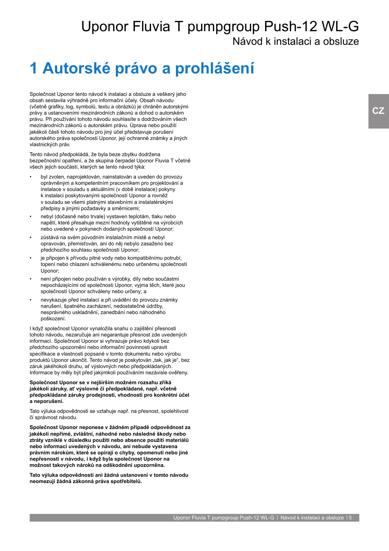## Uponor Fluvia T pumpgroup Push-12 WL-G

Návod k instalaci a obsluze

## <span id="page-4-0"></span>**1 Autorské právo a prohlášení**

Společnost Uponor tento návod k instalaci a obsluze a veškerý jeho obsah sestavila výhradně pro informační účely. Obsah návodu (včetně grafiky, log, symbolů, textu a obrázků) je chráněn autorskými právy a ustanoveními mezinárodních zákonů a dohod o autorském právu. Při používání tohoto návodu souhlasíte s dodržováním všech mezinárodních zákonů o autorském právu. Úprava nebo použití jakékoli části tohoto návodu pro jiný účel představuje porušení autorského práva společnosti Uponor, její ochranné známky a jiných vlastnických práv.

Tento návod předpokládá, že byla beze zbytku dodržena bezpečnostní opatření, a že skupina čerpadel Uponor Fluvia T včetně všech jejich součástí, kterých se tento návod týká:

- byl zvolen, naprojektován, nainstalován a uveden do provozu oprávněným a kompetentním pracovníkem pro projektování a instalace v souladu s aktuálními (v době instalace) pokyny k instalaci poskytovanými společností Uponor a rovněž v souladu se všemi platnými stavebními a instalatérskými předpisy a jinými požadavky a směrnicemi;
- nebyl (dočasně nebo trvale) vystaven teplotám, tlaku nebo napětí, které přesahuje mezní hodnoty vytištěné na výrobcích nebo uvedené v pokynech dodaných společností Uponor;
- zůstává na svém původním instalačním místě a nebyl opravován, přemisťován, ani do něj nebylo zasaženo bez předchozího souhlasu společnosti Uponor;
- je připojen k přívodu pitné vody nebo kompatibilnímu potrubí, topení nebo chlazení schválenému nebo určenému společností Uponor;
- není připojen nebo používán s výrobky, díly nebo součástmi nepocházejícími od společnosti Uponor, vyjma těch, které jsou společností Uponor schváleny nebo určeny; a
- nevykazuje před instalací a při uvádění do provozu známky narušení, špatného zacházení, nedostatečné údržby, nesprávného uskladnění, zanedbání nebo náhodného poškození.

I když společnost Uponor vynaložila snahu o zajištění přesnosti tohoto návodu, nezaručuje ani negarantuje přesnost zde uvedených informací. Společnost Uponor si vyhrazuje právo kdykoli bez předchozího upozornění nebo informační povinnosti upravit specifikace a vlastnosti popsané v tomto dokumentu nebo výrobu produktů Uponor ukončit. Tento návod je poskytován "tak, jak je", bez záruk jakéhokoli druhu, ať výslovných nebo předpokládaných. Informace by měly být před jakýmkoli používáním nezávisle ověřeny.

#### **Společnost Uponor se v nejširším možném rozsahu zříká jakékoli záruky, ať výslovné či předpokládané, např. včetně předpokládané záruky prodejnosti, vhodnosti pro konkrétní účel a neporušení.**

Tato výluka odpovědnosti se vztahuje např. na přesnost, spolehlivost či správnost návodu.

**Společnost Uponor neponese v žádném případě odpovědnost za jakékoli nepřímé, zvláštní, náhodné nebo následné škody nebo ztráty vzniklé v důsledku použití nebo absence použití materiálů nebo informací uvedených v návodu, ani nebude vystavena právním nárokům, které se opírají o chyby, opomenutí nebo jiné nepřesnosti v návodu, i když byla společnost Uponor na možnost takových nároků na odškodnění upozorněna.**

**Tato výluka odpovědnosti ani žádná ustanovení v tomto návodu neomezují žádná zákonná práva spotřebitelů.**

**CZ**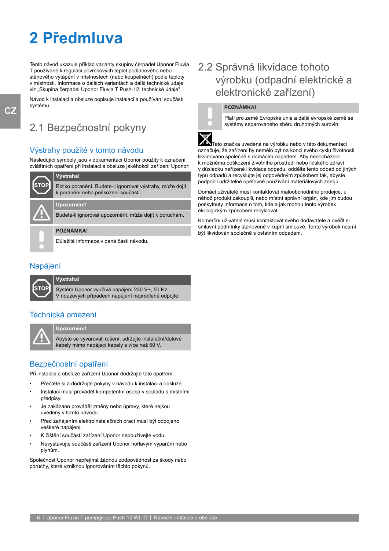## <span id="page-5-0"></span>**2 Předmluva**

Tento návod ukazuje příklad varianty skupiny čerpadel Uponor Fluvia T používané k regulaci povrchových teplot podlahového nebo stěnového vytápění v místnostech (nebo koupelnách) podle teploty v místnosti. Informace o dalších variantách a další technické údaje viz "Skupina čerpadel Uponor Fluvia T Push-12, technické údaje".

Návod k instalaci a obsluze popisuje instalaci a používání součástí systému.

### 2.1 Bezpečnostní pokyny

### Výstrahy použité v tomto návodu

Následující symboly jsou v dokumentaci Uponor použity k označení zvláštních opatření při instalaci a obsluze jakéhokoli zařízení Uponor:



Riziko poranění. Budete-li ignorovat výstrahy, může dojít k poranění nebo poškození součástí.

**Upozornění!**

**Výstraha!**

Budete-li ignorovat upozornění, může dojít k poruchám.

### **POZNÁMKA!**

Důležité informace v dané části návodu.

### Napájení



### **Výstraha!**

Systém Uponor využívá napájení 230 V~, 50 Hz. V nouzových případech napájení neprodleně odpojte.

### Technická omezení



### **Upozornění!**

Abyste se vyvarovali rušení, udržujte instalační/datové kabely mimo napájecí kabely s více než 50 V.

### Bezpečnostní opatření

Při instalaci a obsluze zařízení Uponor dodržujte tato opatření:

- Přečtěte si a dodržujte pokyny v návodu k instalaci a obsluze.
- Instalaci musí provádět kompetentní osoba v souladu s místními předpisy.
- Je zakázáno provádět změny nebo úpravy, které nejsou uvedeny v tomto návodu.
- Před zahájením elektroinstalačních prací musí být odpojeno veškeré napájení.
- K čištění součástí zařízení Uponor nepoužívejte vodu.
- Nevystavujte součásti zařízení Uponor hořlavým výparům nebo plynům.

Společnost Uponor nepřejímá žádnou zodpovědnost za škody nebo poruchy, které vzniknou ignorováním těchto pokynů.

### 2.2 Správná likvidace tohoto výrobku (odpadní elektrické a elektronické zařízení)

### **POZNÁMKA!**



Platí pro země Evropské unie a další evropské země se systémy separovaného sběru druhotných surovin.

**Tato značka uvedená na výrobku nebo v této dokumentaci** označuje, že zařízení by nemělo být na konci svého cyklu životnosti likvidováno společně s domácím odpadem. Aby nedocházelo k možnému poškození životního prostředí nebo lidského zdraví v důsledku neřízené likvidace odpadu, oddělte tento odpad od jiných typů odpadů a recyklujte jej odpovědným způsobem tak, abyste podpořili udržitelné opětovné používání materiálových zdrojů.

Domácí uživatelé musí kontaktovat maloobchodního prodejce, u něhož produkt zakoupili, nebo místní správní orgán, kde jim budou poskytnuty informace o tom, kde a jak mohou tento výrobek ekologickým způsobem recyklovat.

Komerční uživatelé musí kontaktovat svého dodavatele a ověřit si smluvní podmínky stanovené v kupní smlouvě. Tento výrobek nesmí být likvidován společně s ostatním odpadem.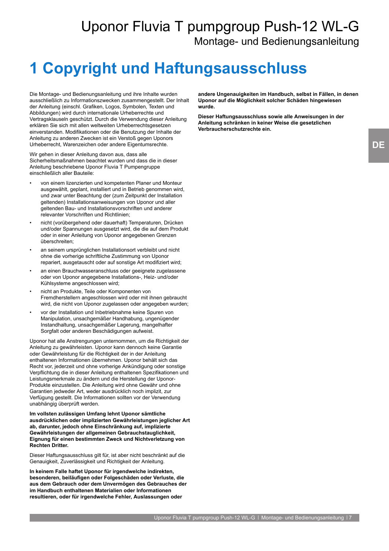### Uponor Fluvia T pumpgroup Push-12 WL-G Montage- und Bedienungsanleitung

## <span id="page-6-0"></span>**1 Copyright und Haftungsausschluss**

Die Montage- und Bedienungsanleitung und ihre Inhalte wurden ausschließlich zu Informationszwecken zusammengestellt. Der Inhalt der Anleitung (einschl. Grafiken, Logos, Symbolen, Texten und Abbildungen) wird durch internationale Urheberrechte und Vertragsklauseln geschützt. Durch die Verwendung dieser Anleitung erklären Sie sich mit allen weltweiten Urheberrechtsgesetzen einverstanden. Modifikationen oder die Benutzung der Inhalte der Anleitung zu anderen Zwecken ist ein Verstoß gegen Uponors Urheberrecht, Warenzeichen oder andere Eigentumsrechte.

Wir gehen in dieser Anleitung davon aus, dass alle Sicherheitsmaßnahmen beachtet wurden und dass die in dieser Anleitung beschriebene Uponor Fluvia T Pumpengruppe einschließlich aller Bauteile:

- von einem lizenzierten und kompetenten Planer und Monteur ausgewählt, geplant, installiert und in Betrieb genommen wird, und zwar unter Beachtung der (zum Zeitpunkt der Installation geltenden) Installationsanweisungen von Uponor und aller geltenden Bau- und Installationsvorschriften und anderer relevanter Vorschriften und Richtlinien;
- nicht (vorübergehend oder dauerhaft) Temperaturen, Drücken und/oder Spannungen ausgesetzt wird, die die auf dem Produkt oder in einer Anleitung von Uponor angegebenen Grenzen überschreiten;
- an seinem ursprünglichen Installationsort verbleibt und nicht ohne die vorherige schriftliche Zustimmung von Uponor repariert, ausgetauscht oder auf sonstige Art modifiziert wird;
- an einen Brauchwasseranschluss oder geeignete zugelassene oder von Uponor angegebene Installations-, Heiz- und/oder Kühlsysteme angeschlossen wird;
- nicht an Produkte, Teile oder Komponenten von Fremdherstellern angeschlossen wird oder mit ihnen gebraucht wird, die nicht von Uponor zugelassen oder angegeben wurden;
- vor der Installation und Inbetriebnahme keine Spuren von Manipulation, unsachgemäßer Handhabung, ungenügender Instandhaltung, unsachgemäßer Lagerung, mangelhafter Sorgfalt oder anderen Beschädigungen aufweist.

Uponor hat alle Anstrengungen unternommen, um die Richtigkeit der Anleitung zu gewährleisten. Uponor kann dennoch keine Garantie oder Gewährleistung für die Richtigkeit der in der Anleitung enthaltenen Informationen übernehmen. Uponor behält sich das Recht vor, jederzeit und ohne vorherige Ankündigung oder sonstige Verpflichtung die in dieser Anleitung enthaltenen Spezifikationen und Leistungsmerkmale zu ändern und die Herstellung der Uponor-Produkte einzustellen. Die Anleitung wird ohne Gewähr und ohne Garantien jedweder Art, weder ausdrücklich noch implizit, zur Verfügung gestellt. Die Informationen sollten vor der Verwendung unabhängig überprüft werden.

**Im vollsten zulässigen Umfang lehnt Uponor sämtliche ausdrücklichen oder implizierten Gewährleistungen jeglicher Art ab, darunter, jedoch ohne Einschränkung auf, implizierte Gewährleistungen der allgemeinen Gebrauchstauglichkeit, Eignung für einen bestimmten Zweck und Nichtverletzung von Rechten Dritter.**

Dieser Haftungsausschluss gilt für, ist aber nicht beschränkt auf die Genauigkeit, Zuverlässigkeit und Richtigkeit der Anleitung.

**In keinem Falle haftet Uponor für irgendwelche indirekten, besonderen, beiläufigen oder Folgeschäden oder Verluste, die aus dem Gebrauch oder dem Unvermögen des Gebrauches der im Handbuch enthaltenen Materialien oder Informationen resultieren, oder für irgendwelche Fehler, Auslassungen oder**

**andere Ungenauigkeiten im Handbuch, selbst in Fällen, in denen Uponor auf die Möglichkeit solcher Schäden hingewiesen wurde.**

**Dieser Haftungsausschluss sowie alle Anweisungen in der Anleitung schränken in keiner Weise die gesetzlichen Verbraucherschutzrechte ein.**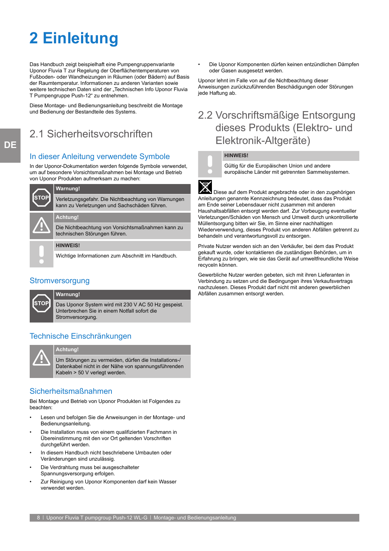## <span id="page-7-0"></span>**2 Einleitung**

Das Handbuch zeigt beispielhaft eine Pumpengruppenvariante Uponor Fluvia T zur Regelung der Oberflächentemperaturen von Fußboden- oder Wandheizungen in Räumen (oder Bädern) auf Basis der Raumtemperatur. Informationen zu anderen Varianten sowie weitere technischen Daten sind der "Technischen Info Uponor Fluvia T Pumpengruppe Push-12" zu entnehmen.

Diese Montage- und Bedienungsanleitung beschreibt die Montage und Bedienung der Bestandteile des Systems.

### 2.1 Sicherheitsvorschriften

### In dieser Anleitung verwendete Symbole

In der Uponor-Dokumentation werden folgende Symbole verwendet, um auf besondere Vorsichtsmaßnahmen bei Montage und Betrieb von Uponor Produkten aufmerksam zu machen:

| <b>STOP</b>     | <b>Warnung!</b>                                                                                     |
|-----------------|-----------------------------------------------------------------------------------------------------|
|                 | Verletzungsgefahr. Die Nichtbeachtung von Warnungen<br>kann zu Verletzungen und Sachschäden führen. |
| $\blacklozenge$ | Achtung!                                                                                            |
|                 | Die Nichtbeachtung von Vorsichtsmaßnahmen kann zu<br>technischen Störungen führen.                  |
|                 | <b>HINWEIS!</b>                                                                                     |
|                 | Wichtige Informationen zum Abschnitt im Handbuch.                                                   |
|                 |                                                                                                     |

### **Stromversorgung**



#### **Warnung!**

Das Uponor System wird mit 230 V AC 50 Hz gespeist. Unterbrechen Sie in einem Notfall sofort die Stromversorgung.

### Technische Einschränkungen



**Achtung!**

Um Störungen zu vermeiden, dürfen die Installations-/ Datenkabel nicht in der Nähe von spannungsführenden Kabeln > 50 V verlegt werden.

### Sicherheitsmaßnahmen

Bei Montage und Betrieb von Uponor Produkten ist Folgendes zu beachten:

- Lesen und befolgen Sie die Anweisungen in der Montage- und Bedienungsanleitung.
- Die Installation muss von einem qualifizierten Fachmann in Übereinstimmung mit den vor Ort geltenden Vorschriften durchgeführt werden.
- In diesem Handbuch nicht beschriebene Umbauten oder Veränderungen sind unzulässig.
- Die Verdrahtung muss bei ausgeschalteter Spannungsversorgung erfolgen.
- Zur Reinigung von Uponor Komponenten darf kein Wasser verwendet werden.

• Die Uponor Komponenten dürfen keinen entzündlichen Dämpfen oder Gasen ausgesetzt werden.

Uponor lehnt im Falle von auf die Nichtbeachtung dieser Anweisungen zurückzuführenden Beschädigungen oder Störungen jede Haftung ab.

### 2.2 Vorschriftsmäßige Entsorgung dieses Produkts (Elektro- und Elektronik-Altgeräte)

### **HINWEIS!**

Gültig für die Europäischen Union und andere europäische Länder mit getrennten Sammelsystemen.



 Diese auf dem Produkt angebrachte oder in den zugehörigen Anleitungen genannte Kennzeichnung bedeutet, dass das Produkt am Ende seiner Lebensdauer nicht zusammen mit anderen Haushaltsabfällen entsorgt werden darf. Zur Vorbeugung eventueller Verletzungen/Schäden von Mensch und Umwelt durch unkontrollierte Müllentsorgung bitten wir Sie, im Sinne einer nachhaltigen Wiederverwendung, dieses Produkt von anderen Abfällen getrennt zu behandeln und verantwortungsvoll zu entsorgen.

Private Nutzer wenden sich an den Verkäufer, bei dem das Produkt gekauft wurde, oder kontaktieren die zuständigen Behörden, um in Erfahrung zu bringen, wie sie das Gerät auf umweltfreundliche Weise recyceln können.

Gewerbliche Nutzer werden gebeten, sich mit ihren Lieferanten in Verbindung zu setzen und die Bedingungen ihres Verkaufsvertrags nachzulesen. Dieses Produkt darf nicht mit anderen gewerblichen Abfällen zusammen entsorgt werden.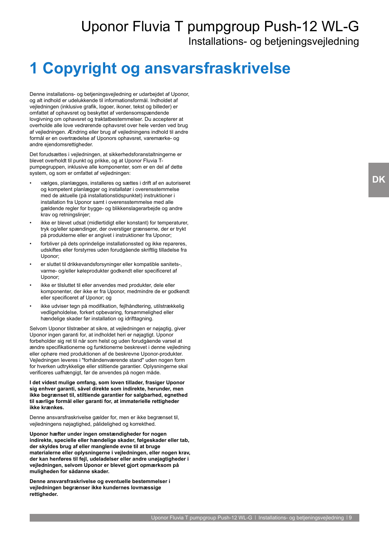### Uponor Fluvia T pumpgroup Push-12 WL-G Installations- og betjeningsvejledning

## <span id="page-8-0"></span>**1 Copyright og ansvarsfraskrivelse**

Denne installations- og betjeningsvejledning er udarbejdet af Uponor, og alt indhold er udelukkende til informationsformål. Indholdet af vejledningen (inklusive grafik, logoer, ikoner, tekst og billeder) er omfattet af ophavsret og beskyttet af verdensomspændende lovgivning om ophavsret og traktatbestemmelser. Du accepterer at overholde alle love vedrørende ophavsret over hele verden ved brug af vejledningen. Ændring eller brug af vejledningens indhold til andre formål er en overtrædelse af Uponors ophavsret, varemærke- og andre ejendomsrettigheder.

Det forudsættes i vejledningen, at sikkerhedsforanstaltningerne er blevet overholdt til punkt og prikke, og at Uponor Fluvia Tpumpegruppen, inklusive alle komponenter, som er en del af dette system, og som er omfattet af vejledningen:

- vælges, planlægges, installeres og sættes i drift af en autoriseret og kompetent planlægger og installatør i overensstemmelse med de aktuelle (på installationstidspunktet) instruktioner i installation fra Uponor samt i overensstemmelse med alle gældende regler for bygge- og blikkenslagerarbejde og andre krav og retningslinjer;
- ikke er blevet udsat (midlertidigt eller konstant) for temperaturer, tryk og/eller spændinger, der overstiger grænserne, der er trykt på produkterne eller er angivet i instruktioner fra Uponor;
- forbliver på dets oprindelige installationssted og ikke repareres, udskiftes eller forstyrres uden forudgående skriftlig tilladelse fra Uponor;
- er sluttet til drikkevandsforsyninger eller kompatible sanitets-, varme- og/eller køleprodukter godkendt eller specificeret af Uponor;
- ikke er tilsluttet til eller anvendes med produkter, dele eller komponenter, der ikke er fra Uponor, medmindre de er godkendt eller specificeret af Uponor; og
- ikke udviser tegn på modifikation, fejlhåndtering, utilstrækkelig vedligeholdelse, forkert opbevaring, forsømmelighed eller hændelige skader før installation og idrifttagning.

Selvom Uponor tilstræber at sikre, at vejledningen er nøjagtig, giver Uponor ingen garanti for, at indholdet heri er nøjagtigt. Uponor forbeholder sig ret til når som helst og uden forudgående varsel at ændre specifikationerne og funktionerne beskrevet i denne vejledning eller ophøre med produktionen af de beskrevne Uponor-produkter. Vejledningen leveres i "forhåndenværende stand" uden nogen form for hverken udtrykkelige eller stiltiende garantier. Oplysningerne skal verificeres uafhængigt, før de anvendes på nogen måde.

**I det videst mulige omfang, som loven tillader, frasiger Uponor sig enhver garanti, såvel direkte som indirekte, herunder, men ikke begrænset til, stiltiende garantier for salgbarhed, egnethed til særlige formål eller garanti for, at immaterielle rettigheder ikke krænkes.**

Denne ansvarsfraskrivelse gælder for, men er ikke begrænset til, vejledningens nøjagtighed, pålidelighed og korrekthed.

**Uponor hæfter under ingen omstændigheder for nogen indirekte, specielle eller hændelige skader, følgeskader eller tab, der skyldes brug af eller manglende evne til at bruge materialerne eller oplysningerne i vejledningen, eller nogen krav, der kan henføres til fejl, udeladelser eller andre unøjagtigheder i vejledningen, selvom Uponor er blevet gjort opmærksom på muligheden for sådanne skader.**

**Denne ansvarsfraskrivelse og eventuelle bestemmelser i vejledningen begrænser ikke kundernes lovmæssige rettigheder.**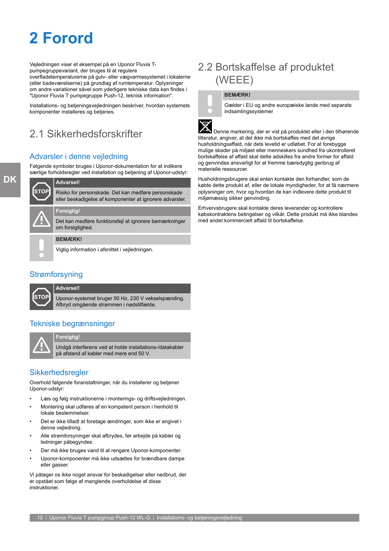## <span id="page-9-0"></span>**2 Forord**

Vejledningen viser et eksempel på en Uponor Fluvia Tpumpegruppevariant, der bruges til at regulere

overfladetemperaturerne på gulv- eller vægvarmesystemet i lokalerne (eller badeværelserne) på grundlag af rumtemperatur. Oplysninger om andre variationer såvel som yderligere tekniske data kan findes i "Uponor Fluvia T pumpegruppe Push-12, teknisk information".

Installations- og betjeningsvejledningen beskriver, hvordan systemets komponenter installeres og betjenes.

### 2.1 Sikkerhedsforskrifter

### Advarsler i denne vejledning

Følgende symboler bruges i Uponor-dokumentation for at indikere særlige forholdsregler ved installation og betjening af Uponor-udstyr:



**DK**

### **Advarsel!**

Risiko for personskade. Det kan medføre personskade eller beskadigelse af komponenter at ignorere advarsler.

### **Forsigtig!**

Det kan medføre funktionsfejl at ignorere bemærkninger om forsigtighed.

### **BEMÆRK!**

Vigtig information i afsnittet i vejledningen.

### **Strømforsyning**



**STOP** 

### **Advarsel!**

Uponor-systemet bruger 50 Hz, 230 V vekselspænding. Afbryd omgående strømmen i nødstilfælde.

### Tekniske begrænsninger



### **Forsigtig!**

Undgå interferens ved at holde installations-/datakabler på afstand af kabler med mere end 50 V.

### **Sikkerhedsregler**

Overhold følgende foranstaltninger, når du installerer og betjener Uponor-udstyr:

- Læs og følg instruktionerne i monterings- og driftsvejledningen.
- Montering skal udføres af en kompetent person i henhold til lokale bestemmelser.
- Det er ikke tilladt at foretage ændringer, som ikke er angivet i denne vejledning.
- Alle strømforsyninger skal afbrydes, før arbejde på kabler og ledninger påbegyndes.
- Der må ikke bruges vand til at rengøre Uponor-komponenter.
- Uponor-komponenter må ikke udsættes for brændbare dampe eller gasser.

Vi påtager os ikke noget ansvar for beskadigelser eller nedbrud, der er opstået som følge af manglende overholdelse af disse instruktioner.

### 2.2 Bortskaffelse af produktet (WEEE)

#### **BEMÆRK!**



Gælder i EU og andre europæiske lande med separate indsamlingssystemer

 Denne markering, der er vist på produktet eller i den tilhørende litteratur, angiver, at det ikke må bortskaffes med det øvrige husholdningsaffald, når dets levetid er udløbet. For at forebygge mulige skader på miljøet eller menneskers sundhed fra ukontrolleret bortskaffelse af affald skal dette adskilles fra andre former for affald og genvindes ansvarligt for at fremme bæredygtig genbrug af materielle ressourcer.

Husholdningsbrugere skal enten kontakte den forhandler, som de købte dette produkt af, eller de lokale myndigheder, for at få nærmere oplysninger om, hvor og hvordan de kan indlevere dette produkt til miljømæssig sikker genvinding.

Erhvervsbrugere skal kontakte deres leverandør og kontrollere købskontraktens betingelser og vilkår. Dette produkt må ikke blandes med andet kommercielt affald til bortskaffelse.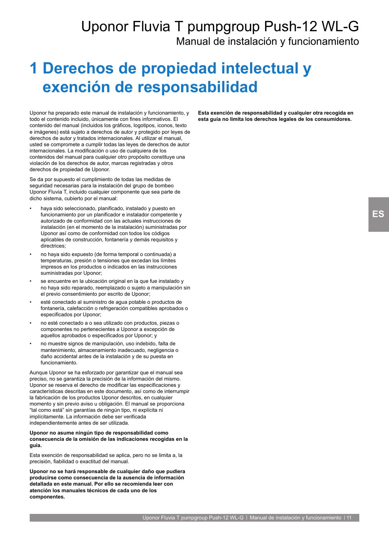### Uponor Fluvia T pumpgroup Push-12 WL-G Manual de instalación y funcionamiento

## <span id="page-10-0"></span>**1 Derechos de propiedad intelectual y exención de responsabilidad**

Uponor ha preparado este manual de instalación y funcionamiento, y todo el contenido incluido, únicamente con fines informativos. El contenido del manual (incluidos los gráficos, logotipos, iconos, texto e imágenes) está sujeto a derechos de autor y protegido por leyes de derechos de autor y tratados internacionales. Al utilizar el manual, usted se compromete a cumplir todas las leyes de derechos de autor internacionales. La modificación o uso de cualquiera de los contenidos del manual para cualquier otro propósito constituye una violación de los derechos de autor, marcas registradas y otros derechos de propiedad de Uponor.

Se da por supuesto el cumplimiento de todas las medidas de seguridad necesarias para la instalación del grupo de bombeo Uponor Fluvia T, incluido cualquier componente que sea parte de dicho sistema, cubierto por el manual:

- haya sido seleccionado, planificado, instalado y puesto en funcionamiento por un planificador e instalador competente y autorizado de conformidad con las actuales instrucciones de instalación (en el momento de la instalación) suministradas por Uponor así como de conformidad con todos los códigos aplicables de construcción, fontanería y demás requisitos y directrices;
- no haya sido expuesto (de forma temporal o continuada) a temperaturas, presión o tensiones que excedan los límites impresos en los productos o indicados en las instrucciones suministradas por Uponor;
- se encuentre en la ubicación original en la que fue instalado y no haya sido reparado, reemplazado o sujeto a manipulación sin el previo consentimiento por escrito de Uponor;
- esté conectado al suministro de agua potable o productos de fontanería, calefacción o refrigeración compatibles aprobados o especificados por Uponor;
- no esté conectado a o sea utilizado con productos, piezas o componentes no pertenecientes a Uponor a excepción de aquellos aprobados o especificados por Uponor; y
- no muestre signos de manipulación, uso indebido, falta de mantenimiento, almacenamiento inadecuado, negligencia o daño accidental antes de la instalación y de su puesta en funcionamiento.

Aunque Uponor se ha esforzado por garantizar que el manual sea preciso, no se garantiza la precisión de la información del mismo. Uponor se reserva el derecho de modificar las especificaciones y características descritas en este documento, así como de interrumpir la fabricación de los productos Uponor descritos, en cualquier momento y sin previo aviso u obligación. El manual se proporciona "tal como está" sin garantías de ningún tipo, ni explícita ni implícitamente. La información debe ser verificada independientemente antes de ser utilizada.

#### **Uponor no asume ningún tipo de responsabilidad como consecuencia de la omisión de las indicaciones recogidas en la guía.**

Esta exención de responsabilidad se aplica, pero no se limita a, la precisión, fiabilidad o exactitud del manual.

**Uponor no se hará responsable de cualquier daño que pudiera producirse como consecuencia de la ausencia de información detallada en este manual. Por ello se recomienda leer con atención los manuales técnicos de cada uno de los componentes.**

**Esta exención de responsabilidad y cualquier otra recogida en esta guía no limita los derechos legales de los consumidores.**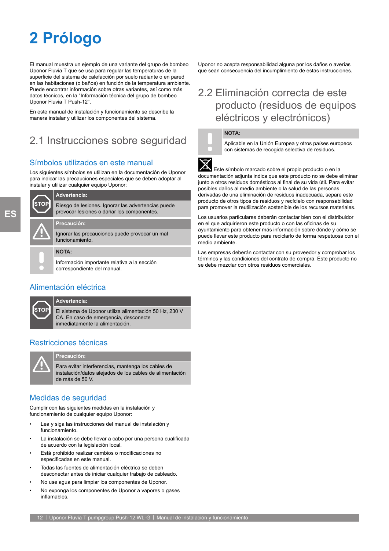## <span id="page-11-0"></span>**2 Prólogo**

El manual muestra un ejemplo de una variante del grupo de bombeo Uponor Fluvia T que se usa para regular las temperaturas de la superficie del sistema de calefacción por suelo radiante o en pared en las habitaciones (o baños) en función de la temperatura ambiente. Puede encontrar información sobre otras variantes, así como más datos técnicos, en la "Información técnica del grupo de bombeo Uponor Fluvia T Push-12".

En este manual de instalación y funcionamiento se describe la manera instalar y utilizar los componentes del sistema.

### 2.1 Instrucciones sobre seguridad

### Símbolos utilizados en este manual

Los siguientes símbolos se utilizan en la documentación de Uponor para indicar las precauciones especiales que se deben adoptar al instalar y utilizar cualquier equipo Uponor:

| . .<br>_                           |  |
|------------------------------------|--|
| _<br>$\overline{\phantom{a}}$<br>_ |  |

#### **Advertencia:**

**STOP** 

Riesgo de lesiones. Ignorar las advertencias puede provocar lesiones o dañar los componentes.

#### **Precaución:**

Ignorar las precauciones puede provocar un mal funcionamiento.

#### **NOTA:**

Información importante relativa a la sección correspondiente del manual.

### Alimentación eléctrica



#### **Advertencia:**

El sistema de Uponor utiliza alimentación 50 Hz, 230 V CA. En caso de emergencia, desconecte inmediatamente la alimentación.

### Restricciones técnicas



### **Precaución:**

Para evitar interferencias, mantenga los cables de instalación/datos alejados de los cables de alimentación de más de 50 V.

### Medidas de seguridad

Cumplir con las siguientes medidas en la instalación y funcionamiento de cualquier equipo Uponor:

- Lea y siga las instrucciones del manual de instalación y funcionamiento.
- La instalación se debe llevar a cabo por una persona cualificada de acuerdo con la legislación local.
- Está prohibido realizar cambios o modificaciones no especificadas en este manual.
- Todas las fuentes de alimentación eléctrica se deben desconectar antes de iniciar cualquier trabajo de cableado.
- No use agua para limpiar los componentes de Uponor.
- No exponga los componentes de Uponor a vapores o gases inflamables.

Uponor no acepta responsabilidad alguna por los daños o averías que sean consecuencia del incumplimiento de estas instrucciones.

### 2.2 Eliminación correcta de este producto (residuos de equipos eléctricos y electrónicos)



Aplicable en la Unión Europea y otros países europeos con sistemas de recogida selectiva de residuos.

 Este símbolo marcado sobre el propio producto o en la documentación adjunta indica que este producto no se debe eliminar junto a otros residuos domésticos al final de su vida útil. Para evitar posibles daños al medio ambiente o la salud de las personas derivadas de una eliminación de residuos inadecuada, separe este producto de otros tipos de residuos y recíclelo con responsabilidad para promover la reutilización sostenible de los recursos materiales.

Los usuarios particulares deberán contactar bien con el distribuidor en el que adquirieron este producto o con las oficinas de su ayuntamiento para obtener más información sobre dónde y cómo se puede llevar este producto para reciclarlo de forma respetuosa con el medio ambiente.

Las empresas deberán contactar con su proveedor y comprobar los términos y las condiciones del contrato de compra. Este producto no se debe mezclar con otros residuos comerciales.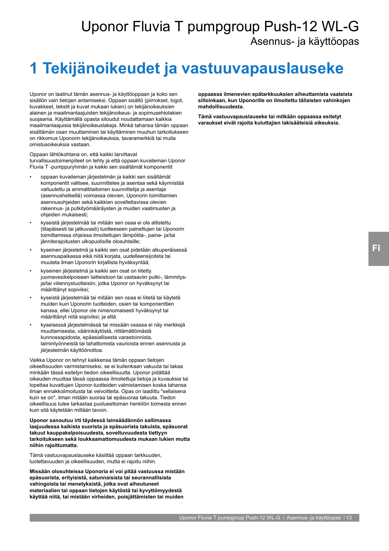### Uponor Fluvia T pumpgroup Push-12 WL-G Asennus- ja käyttöopas

## <span id="page-12-0"></span>**1 Tekijänoikeudet ja vastuuvapauslauseke**

Uponor on laatinut tämän asennus- ja käyttöoppaan ja koko sen sisällön vain tietojen antamiseksi. Oppaan sisältö (piirrokset, logot, kuvakkeet, tekstit ja kuvat mukaan lukien) on tekijänoikeuksien alainen ja maailmanlaajuisten tekijänoikeus- ja sopimusehtolakien suojaama. Käyttämällä opasta sitoudut noudattamaan kaikkia maailmanlaajuisia tekijänoikeuslakeja. Minkä tahansa tämän oppaan sisältämän osan muuttaminen tai käyttäminen muuhun tarkoitukseen on rikkomus Uponorin tekijänoikeuksia, tavaramerkkiä tai muita omistusoikeuksia vastaan.

Oppaan lähtökohtana on, että kaikki tarvittavat turvallisuustoimenpiteet on tehty ja että oppaan kuvaileman Uponor Fluvia T ‑pumppuryhmän ja kaikki sen sisältämät komponentit

- oppaan kuvaileman järjestelmän ja kaikki sen sisältämät komponentit valitsee, suunnittelee ja asentaa sekä käynnistää valtuutettu ja ammattitaitoinen suunnittelija ja asentaja (asennushetkellä) voimassa olevien, Uponorin toimittamien asennusohjeiden sekä kaikkien sovellettavissa olevien rakennus- ja putkityömääräysten ja muiden vaatimusten ja ohjeiden mukaisesti;
- kyseistä järjestelmää tai mitään sen osaa ei ole altistettu (tilapäisesti tai jatkuvasti) tuotteeseen painettujen tai Uponorin toimittamissa ohjeissa ilmoitettujen lämpötila-, paine- ja/tai jänniterajoitusten ulkopuolisille olosuhteille;
- kyseinen järjestelmä ja kaikki sen osat pidetään alkuperäisessä asennuspaikassa eikä niitä korjata, uudelleensijoiteta tai muuteta ilman Uponorin kirjallista hyväksyntää;
- kyseinen järjestelmä ja kaikki sen osat on liitetty juomavesikelpoiseen laitteistoon tai vastaaviin putki-, lämmitysja/tai viilennystuotteisiin, jotka Uponor on hyväksynyt tai määrittänyt sopiviksi;
- kyseistä järjestelmää tai mitään sen osaa ei liitetä tai käytetä muiden kuin Uponorin tuotteiden, osien tai komponenttien kanssa, ellei Uponor ole nimenomaisesti hyväksynyt tai määrittänyt niitä sopiviksi; ja että
- kyseisessä järjestelmässä tai missään osassa ei näy merkkejä muuttamisesta, väärinkäytöstä, riittämättömästä kunnossapidosta, epäasiallisesta varastoinnista, laiminlyönneistä tai tahattomista vaurioista ennen asennusta ja järjestelmän käyttöönottoa.

Vaikka Uponor on tehnyt kaikkensa tämän oppaan tietojen oikeellisuuden varmistamiseksi, se ei kuitenkaan vakuuta tai takaa minkään tässä esitetyn tiedon oikeellisuutta. Uponor pidättää oikeuden muuttaa tässä oppaassa ilmoitettuja tietoja ja kuvauksia tai lopettaa kuvattujen Uponor‑tuotteiden valmistamisen koska tahansa ilman ennakkoilmoitusta tai velvoitteita. Opas on laadittu "sellaisena kuin se on", ilman mitään suoraa tai epäsuoraa takuuta. Tiedon oikeellisuus tulee tarkastaa puolueettoman henkilön toimesta ennen kuin sitä käytetään millään tavoin.

#### **Uponor sanoutuu irti täydessä lainsäädännön sallimassa laajuudessa kaikista suorista ja epäsuorista takuista, epäsuorat takuut kauppakelpoisuudesta, soveltuvuudesta tiettyyn tarkoitukseen sekä loukkaamattomuudesta mukaan lukien mutta niihin rajoittumatta.**

Tämä vastuuvapauslauseke käsittää oppaan tarkkuuden, luotettavuuden ja oikeellisuuden, mutta ei rajoitu niihin.

**Missään olosuhteissa Uponoria ei voi pitää vastuussa mistään epäsuorista, erityisistä, satunnaisista tai seurannallisista vahingoista tai menetyksistä, jotka ovat aiheutuneet materiaalien tai oppaan tietojen käytöstä tai kyvyttömyydestä käyttää niitä, tai mistään virheiden, poisjättämisten tai muiden**

**oppaassa ilmenevien epätarkkuuksien aiheuttamista vaateista silloinkaan, kun Uponorille on ilmoitettu tällaisten vahinkojen mahdollisuudesta.**

**Tämä vastuuvapauslauseke tai mitkään oppaassa esitetyt varaukset eivät rajoita kuluttajien lakisääteisiä oikeuksia.**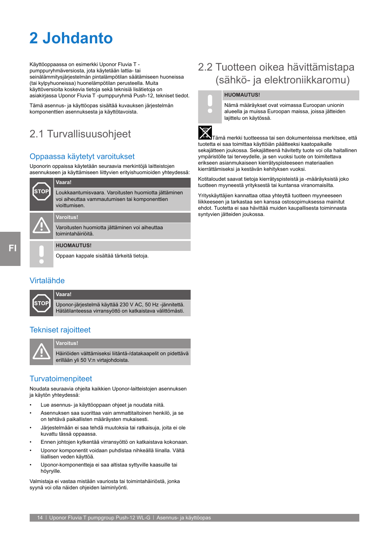## <span id="page-13-0"></span>**2 Johdanto**

Käyttöoppaassa on esimerkki Uponor Fluvia T pumppuryhmäversiosta, jota käytetään lattia- tai seinälämmitysjärjestelmän pintalämpötilan säätämiseen huoneissa (tai kylpyhuoneissa) huonelämpötilan perusteella. Muita käyttöversioita koskevia tietoja sekä teknisiä lisätietoja on asiakirjassa Uponor Fluvia T -pumppuryhmä Push-12, tekniset tiedot.

Tämä asennus- ja käyttöopas sisältää kuvauksen järjestelmän komponenttien asennuksesta ja käyttötavoista.

### 2.1 Turvallisuusohjeet

### Oppaassa käytetyt varoitukset

Uponorin oppaissa käytetään seuraavia merkintöjä laitteistojen asennukseen ja käyttämiseen liittyvien erityishuomioiden yhteydessä:

> Loukkaantumisvaara. Varoitusten huomiotta jättäminen voi aiheuttaa vammautumisen tai komponenttien

| <b>STATE</b> |
|--------------|
|--------------|

### **Varoitus!**

vioittumisen.

**Vaara!**

Varoitusten huomiotta jättäminen voi aiheuttaa toimintahäiriöitä.

### **HUOMAUTUS!**

Oppaan kappale sisältää tärkeitä tietoja.

### Virtalähde



**Vaara!** Uponor-järjestelmä käyttää 230 V AC, 50 Hz -jännitettä. Hätätilanteessa virransyöttö on katkaistava välittömästi.

### Tekniset rajoitteet



#### **Varoitus!**

Häiriöiden välttämiseksi liitäntä-/datakaapelit on pidettävä erillään yli 50 V:n virtajohdoista.

### **Turvatoimenpiteet**

Noudata seuraavia ohjeita kaikkien Uponor-laitteistojen asennuksen ja käytön yhteydessä:

- Lue asennus- ja käyttöoppaan ohjeet ja noudata niitä.
- Asennuksen saa suorittaa vain ammattitaitoinen henkilö, ja se on tehtävä paikallisten määräysten mukaisesti.
- Järjestelmään ei saa tehdä muutoksia tai ratkaisuja, joita ei ole kuvattu tässä oppaassa.
- Ennen johtojen kytkentää virransyöttö on katkaistava kokonaan.
- Uponor komponentit voidaan puhdistaa nihkeällä liinalla. Vältä liiallisen veden käyttöä.
- Uponor-komponentteja ei saa altistaa syttyville kaasuille tai höyryille.

Valmistaja ei vastaa mistään vauriosta tai toimintahäiriöstä, jonka syynä voi olla näiden ohjeiden laiminlyönti.

### 2.2 Tuotteen oikea hävittämistapa (sähkö- ja elektroniikkaromu)

#### **HUOMAUTUS!**



Nämä määräykset ovat voimassa Euroopan unionin alueella ja muissa Euroopan maissa, joissa jätteiden lajittelu on käytössä.

Tämä merkki tuotteessa tai sen dokumenteissa merkitsee, että tuotetta ei saa toimittaa käyttöiän päätteeksi kaatopaikalle sekajätteen joukossa. Sekajätteenä hävitetty tuote voi olla haitallinen ympäristölle tai terveydelle, ja sen vuoksi tuote on toimitettava erikseen asianmukaiseen kierrätyspisteeseen materiaalien kierrättämiseksi ja kestävän kehityksen vuoksi.

Kotitaloudet saavat tietoja kierrätyspisteistä ja -määräyksistä joko tuotteen myyneestä yrityksestä tai kuntansa viranomaisilta.

Yrityskäyttäjien kannattaa ottaa yhteyttä tuotteen myyneeseen liikkeeseen ja tarkastaa sen kanssa ostosopimuksessa mainitut ehdot. Tuotetta ei saa hävittää muiden kaupallisesta toiminnasta syntyvien jätteiden joukossa.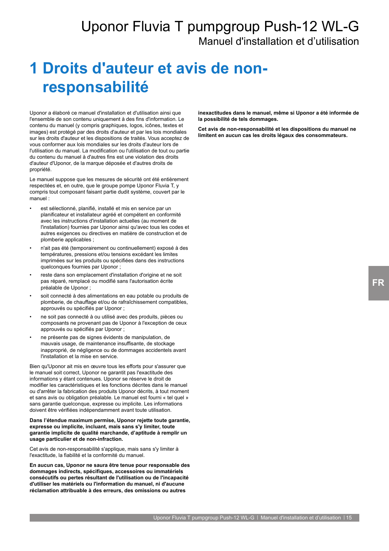## <span id="page-14-0"></span>**1 Droits d'auteur et avis de nonresponsabilité**

Uponor a élaboré ce manuel d'installation et d'utilisation ainsi que l'ensemble de son contenu uniquement à des fins d'information. Le contenu du manuel (y compris graphiques, logos, icônes, textes et images) est protégé par des droits d'auteur et par les lois mondiales sur les droits d'auteur et les dispositions de traités. Vous acceptez de vous conformer aux lois mondiales sur les droits d'auteur lors de l'utilisation du manuel. La modification ou l'utilisation de tout ou partie du contenu du manuel à d'autres fins est une violation des droits d'auteur d'Uponor, de la marque déposée et d'autres droits de propriété.

Le manuel suppose que les mesures de sécurité ont été entièrement respectées et, en outre, que le groupe pompe Uponor Fluvia T, y compris tout composant faisant partie dudit système, couvert par le manuel :

- est sélectionné, planifié, installé et mis en service par un planificateur et installateur agréé et compétent en conformité avec les instructions d'installation actuelles (au moment de l'installation) fournies par Uponor ainsi qu'avec tous les codes et autres exigences ou directives en matière de construction et de plomberie applicables ;
- n'ait pas été (temporairement ou continuellement) exposé à des températures, pressions et/ou tensions excédant les limites imprimées sur les produits ou spécifiées dans des instructions quelconques fournies par Uponor ;
- reste dans son emplacement d'installation d'origine et ne soit pas réparé, remplacé ou modifié sans l'autorisation écrite préalable de Uponor ;
- soit connecté à des alimentations en eau potable ou produits de plomberie, de chauffage et/ou de rafraîchissement compatibles, approuvés ou spécifiés par Uponor ;
- ne soit pas connecté à ou utilisé avec des produits, pièces ou composants ne provenant pas de Uponor à l'exception de ceux approuvés ou spécifiés par Uponor ;
- ne présente pas de signes évidents de manipulation, de mauvais usage, de maintenance insuffisante, de stockage inapproprié, de négligence ou de dommages accidentels avant l'installation et la mise en service.

Bien qu'Uponor ait mis en œuvre tous les efforts pour s'assurer que le manuel soit correct, Uponor ne garantit pas l'exactitude des informations y étant contenues. Uponor se réserve le droit de modifier les caractéristiques et les fonctions décrites dans le manuel ou d'arrêter la fabrication des produits Uponor décrits, à tout moment et sans avis ou obligation préalable. Le manuel est fourni « tel quel » sans garantie quelconque, expresse ou implicite. Les informations doivent être vérifiées indépendamment avant toute utilisation.

#### **Dans l'étendue maximum permise, Uponor rejette toute garantie, expresse ou implicite, incluant, mais sans s'y limiter, toute garantie implicite de qualité marchande, d'aptitude à remplir un usage particulier et de non-infraction.**

Cet avis de non-responsabilité s'applique, mais sans s'y limiter à l'exactitude, la fiabilité et la conformité du manuel.

**En aucun cas, Uponor ne saura être tenue pour responsable des dommages indirects, spécifiques, accessoires ou immatériels consécutifs ou pertes résultant de l'utilisation ou de l'incapacité d'utiliser les matériels ou l'information du manuel, ni d'aucune réclamation attribuable à des erreurs, des omissions ou autres**

**inexactitudes dans le manuel, même si Uponor a été informée de la possibilité de tels dommages.**

**Cet avis de non-responsabilité et les dispositions du manuel ne limitent en aucun cas les droits légaux des consommateurs.**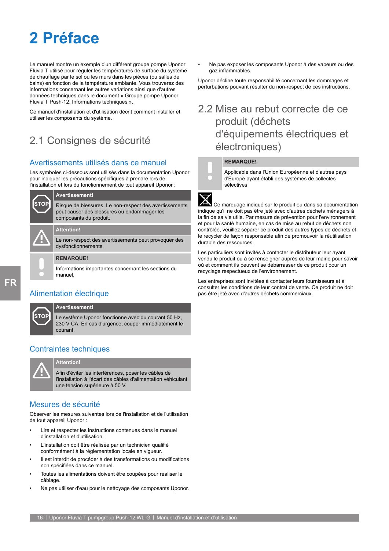## <span id="page-15-0"></span>**2 Préface**

Le manuel montre un exemple d'un différent groupe pompe Uponor Fluvia T utilisé pour réguler les températures de surface du système de chauffage par le sol ou les murs dans les pièces (ou salles de bains) en fonction de la température ambiante. Vous trouverez des informations concernant les autres variations ainsi que d'autres données techniques dans le document « Groupe pompe Uponor Fluvia T Push-12, Informations techniques ».

Ce manuel d'installation et d'utilisation décrit comment installer et utiliser les composants du système.

### 2.1 Consignes de sécurité

### Avertissements utilisés dans ce manuel

Les symboles ci-dessous sont utilisés dans la documentation Uponor pour indiquer les précautions spécifiques à prendre lors de l'installation et lors du fonctionnement de tout appareil Uponor :

| ō |
|---|
|   |

#### **Avertissement!**

Risque de blessures. Le non-respect des avertissements peut causer des blessures ou endommager les composants du produit.

### **Attention!**

Le non-respect des avertissements peut provoquer des dysfonctionnements.

#### **REMARQUE!**

Informations importantes concernant les sections du manuel.

### Alimentation électrique



#### **Avertissement!**

Le système Uponor fonctionne avec du courant 50 Hz, 230 V CA. En cas d'urgence, couper immédiatement le courant.

### Contraintes techniques



### **Attention!**

Afin d'éviter les interférences, poser les câbles de l'installation à l'écart des câbles d'alimentation véhiculant une tension supérieure à 50 V.

### Mesures de sécurité

Observer les mesures suivantes lors de l'installation et de l'utilisation de tout appareil Uponor :

- Lire et respecter les instructions contenues dans le manuel d'installation et d'utilisation.
- L'installation doit être réalisée par un technicien qualifié conformément à la réglementation locale en vigueur.
- Il est interdit de procéder à des transformations ou modifications non spécifiées dans ce manuel.
- Toutes les alimentations doivent être coupées pour réaliser le câblage.
- Ne pas utiliser d'eau pour le nettoyage des composants Uponor.

• Ne pas exposer les composants Uponor à des vapeurs ou des gaz inflammables.

Uponor décline toute responsabilité concernant les dommages et perturbations pouvant résulter du non-respect de ces instructions.

### 2.2 Mise au rebut correcte de ce produit (déchets d'équipements électriques et électroniques)

#### **REMARQUE!**

Applicable dans l'Union Européenne et d'autres pays d'Europe ayant établi des systèmes de collectes sélectives

 Ce marquage indiqué sur le produit ou dans sa documentation indique qu'il ne doit pas être jeté avec d'autres déchets ménagers à la fin de sa vie utile. Par mesure de prévention pour l'environnement et pour la santé humaine, en cas de mise au rebut de déchets non contrôlée, veuillez séparer ce produit des autres types de déchets et le recycler de façon responsable afin de promouvoir la réutilisation durable des ressources.

Les particuliers sont invités à contacter le distributeur leur ayant vendu le produit ou à se renseigner auprès de leur mairie pour savoir où et comment ils peuvent se débarrasser de ce produit pour un recyclage respectueux de l'environnement.

Les entreprises sont invitées à contacter leurs fournisseurs et à consulter les conditions de leur contrat de vente. Ce produit ne doit pas être jeté avec d'autres déchets commerciaux.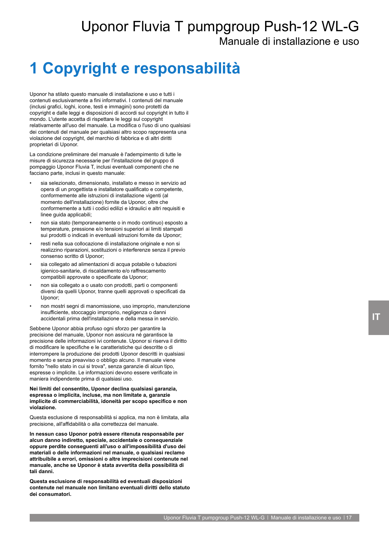## Uponor Fluvia T pumpgroup Push-12 WL-G

Manuale di installazione e uso

## <span id="page-16-0"></span>**1 Copyright e responsabilità**

Uponor ha stilato questo manuale di installazione e uso e tutti i contenuti esclusivamente a fini informativi. I contenuti del manuale (inclusi grafici, loghi, icone, testi e immagini) sono protetti da copyright e dalle leggi e disposizioni di accordi sul copyright in tutto il mondo. L'utente accetta di rispettare le leggi sul copyright relativamente all'uso del manuale. La modifica o l'uso di uno qualsiasi dei contenuti del manuale per qualsiasi altro scopo rappresenta una violazione del copyright, del marchio di fabbrica e di altri diritti proprietari di Uponor.

La condizione preliminare del manuale è l'adempimento di tutte le misure di sicurezza necessarie per l'installazione del gruppo di pompaggio Uponor Fluvia T, inclusi eventuali componenti che ne facciano parte, inclusi in questo manuale:

- sia selezionato, dimensionato, installato e messo in servizio ad opera di un progettista e installatore qualificato e competente, conformemente alle istruzioni di installazione vigenti (al momento dell'installazione) fornite da Uponor, oltre che conformemente a tutti i codici edilizi e idraulici e altri requisiti e linee guida applicabili;
- non sia stato (temporaneamente o in modo continuo) esposto a temperature, pressione e/o tensioni superiori ai limiti stampati sui prodotti o indicati in eventuali istruzioni fornite da Uponor;
- resti nella sua collocazione di installazione originale e non si realizzino riparazioni, sostituzioni o interferenze senza il previo consenso scritto di Uponor;
- sia collegato ad alimentazioni di acqua potabile o tubazioni igienico-sanitarie, di riscaldamento e/o raffrescamento compatibili approvate o specificate da Uponor;
- non sia collegato a o usato con prodotti, parti o componenti diversi da quelli Uponor, tranne quelli approvati o specificati da Uponor;
- non mostri segni di manomissione, uso improprio, manutenzione insufficiente, stoccaggio improprio, negligenza o danni accidentali prima dell'installazione e della messa in servizio.

Sebbene Uponor abbia profuso ogni sforzo per garantire la precisione del manuale, Uponor non assicura né garantisce la precisione delle informazioni ivi contenute. Uponor si riserva il diritto di modificare le specifiche e le caratteristiche qui descritte o di interrompere la produzione dei prodotti Uponor descritti in qualsiasi momento e senza preavviso o obbligo alcuno. Il manuale viene fornito "nello stato in cui si trova", senza garanzie di alcun tipo, espresse o implicite. Le informazioni devono essere verificate in maniera indipendente prima di qualsiasi uso.

#### **Nei limiti del consentito, Uponor declina qualsiasi garanzia, espressa o implicita, incluse, ma non limitate a, garanzie implicite di commerciabilità, idoneità per scopo specifico e non violazione.**

Questa esclusione di responsabilità si applica, ma non è limitata, alla precisione, all'affidabilità o alla correttezza del manuale.

**In nessun caso Uponor potrà essere ritenuta responsabile per alcun danno indiretto, speciale, accidentale o consequenziale oppure perdite conseguenti all'uso o all'impossibilità d'uso dei materiali o delle informazioni nel manuale, o qualsiasi reclamo attribuibile a errori, omissioni o altre imprecisioni contenute nel manuale, anche se Uponor è stata avvertita della possibilità di tali danni.**

**Questa esclusione di responsabilità ed eventuali disposizioni contenute nel manuale non limitano eventuali diritti dello statuto dei consumatori.**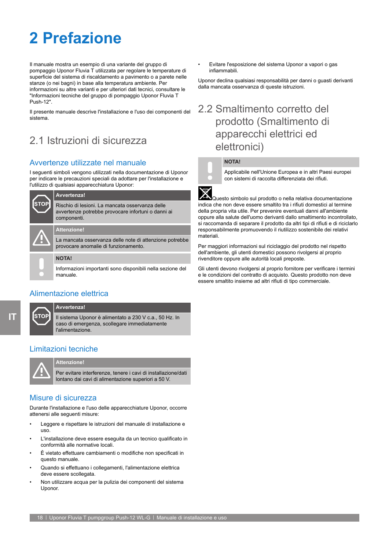## <span id="page-17-0"></span>**2 Prefazione**

Il manuale mostra un esempio di una variante del gruppo di pompaggio Uponor Fluvia T utilizzata per regolare le temperature di superficie del sistema di riscaldamento a pavimento o a parete nelle stanze (o nei bagni) in base alla temperatura ambiente. Per informazioni su altre varianti e per ulteriori dati tecnici, consultare le "Informazioni tecniche del gruppo di pompaggio Uponor Fluvia T Push-12".

Il presente manuale descrive l'installazione e l'uso dei componenti del sistema.

### 2.1 Istruzioni di sicurezza

### Avvertenze utilizzate nel manuale

I seguenti simboli vengono utilizzati nella documentazione di Uponor per indicare le precauzioni speciali da adottare per l'installazione e l'utilizzo di qualsiasi apparecchiatura Uponor:



### **Avvertenza!**

Rischio di lesioni. La mancata osservanza delle avvertenze potrebbe provocare infortuni o danni ai componenti.

#### **Attenzione!**

La mancata osservanza delle note di attenzione potrebbe provocare anomalie di funzionamento.

#### **NOTA!**

Informazioni importanti sono disponibili nella sezione del manuale.

### Alimentazione elettrica



#### **Avvertenza!**

Il sistema Uponor è alimentato a 230 V c.a., 50 Hz. In caso di emergenza, scollegare immediatamente l'alimentazione.

### Limitazioni tecniche



**STOP** 

### **Attenzione!**

Per evitare interferenze, tenere i cavi di installazione/dati lontano dai cavi di alimentazione superiori a 50 V.

### Misure di sicurezza

Durante l'installazione e l'uso delle apparecchiature Uponor, occorre attenersi alle seguenti misure:

- Leggere e rispettare le istruzioni del manuale di installazione e uso.
- L'installazione deve essere eseguita da un tecnico qualificato in conformità alle normative locali.
- È vietato effettuare cambiamenti o modifiche non specificati in questo manuale.
- Quando si effettuano i collegamenti, l'alimentazione elettrica deve essere scollegata.
- Non utilizzare acqua per la pulizia dei componenti del sistema **Uponor**

• Evitare l'esposizione del sistema Uponor a vapori o gas infiammabili.

Uponor declina qualsiasi responsabilità per danni o guasti derivanti dalla mancata osservanza di queste istruzioni.

### 2.2 Smaltimento corretto del prodotto (Smaltimento di apparecchi elettrici ed elettronici)

### **NOTA!**



Applicabile nell'Unione Europea e in altri Paesi europei con sistemi di raccolta differenziata dei rifiuti.

Questo simbolo sul prodotto o nella relativa documentazione indica che non deve essere smaltito tra i rifiuti domestici al termine della propria vita utile. Per prevenire eventuali danni all'ambiente oppure alla salute dell'uomo derivanti dallo smaltimento incontrollato, si raccomanda di separare il prodotto da altri tipi di rifiuti e di riciclarlo responsabilmente promuovendo il riutilizzo sostenibile dei relativi materiali.

Per maggiori informazioni sul riciclaggio del prodotto nel rispetto dell'ambiente, gli utenti domestici possono rivolgersi al proprio rivenditore oppure alle autorità locali preposte.

Gli utenti devono rivolgersi al proprio fornitore per verificare i termini e le condizioni del contratto di acquisto. Questo prodotto non deve essere smaltito insieme ad altri rifiuti di tipo commerciale.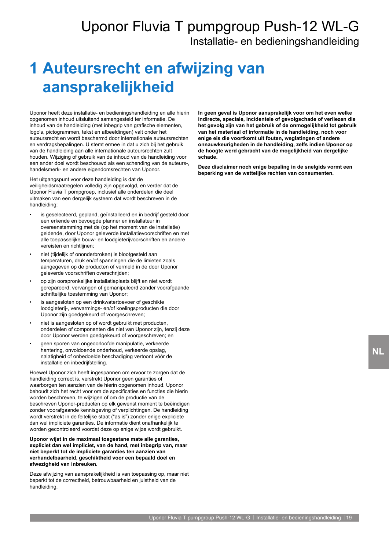## <span id="page-18-0"></span>**1 Auteursrecht en afwijzing van aansprakelijkheid**

Uponor heeft deze installatie- en bedieningshandleiding en alle hierin opgenomen inhoud uitsluitend samengesteld ter informatie. De inhoud van de handleiding (met inbegrip van grafische elementen, logo's, pictogrammen, tekst en afbeeldingen) valt onder het auteursrecht en wordt beschermd door internationale auteursrechten en verdragsbepalingen. U stemt ermee in dat u zich bij het gebruik van de handleiding aan alle internationale auteursrechten zult houden. Wijziging of gebruik van de inhoud van de handleiding voor een ander doel wordt beschouwd als een schending van de auteurs-, handelsmerk- en andere eigendomsrechten van Uponor.

Het uitgangspunt voor deze handleiding is dat de veiligheidsmaatregelen volledig zijn opgevolgd, en verder dat de Uponor Fluvia T pompgroep, inclusief alle onderdelen die deel uitmaken van een dergelijk systeem dat wordt beschreven in de handleiding:

- is geselecteerd, gepland, geïnstalleerd en in bedrijf gesteld door een erkende en bevoegde planner en installateur in overeenstemming met de (op het moment van de installatie) geldende, door Uponor geleverde installatievoorschriften en met alle toepasselijke bouw- en loodgieterijvoorschriften en andere vereisten en richtlijnen;
- niet (tijdelijk of ononderbroken) is blootgesteld aan temperaturen, druk en/of spanningen die de limieten zoals aangegeven op de producten of vermeld in de door Uponor geleverde voorschriften overschrijden;
- op zijn oorspronkelijke installatieplaats blijft en niet wordt gerepareerd, vervangen of gemanipuleerd zonder voorafgaande schriftelijke toestemming van Uponor;
- is aangesloten op een drinkwatertoevoer of geschikte loodgieterij-, verwarmings- en/of koelingsproducten die door Uponor zijn goedgekeurd of voorgeschreven;
- niet is aangesloten op of wordt gebruikt met producten, onderdelen of componenten die niet van Uponor zijn, tenzij deze door Uponor werden goedgekeurd of voorgeschreven; en
- geen sporen van ongeoorloofde manipulatie, verkeerde hantering, onvoldoende onderhoud, verkeerde opslag, nalatigheid of onbedoelde beschadiging vertoont vóór de installatie en inbedrijfstelling.

Hoewel Uponor zich heeft ingespannen om ervoor te zorgen dat de handleiding correct is, verstrekt Uponor geen garanties of waarborgen ten aanzien van de hierin opgenomen inhoud. Uponor behoudt zich het recht voor om de specificaties en functies die hierin worden beschreven, te wijzigen of om de productie van de beschreven Uponor-producten op elk gewenst moment te beëindigen zonder voorafgaande kennisgeving of verplichtingen. De handleiding wordt verstrekt in de feitelijke staat ("as is") zonder enige expliciete dan wel impliciete garanties. De informatie dient onafhankelijk te worden gecontroleerd voordat deze op enige wijze wordt gebruikt.

#### **Uponor wijst in de maximaal toegestane mate alle garanties, expliciet dan wel impliciet, van de hand, met inbegrip van, maar niet beperkt tot de impliciete garanties ten aanzien van verhandelbaarheid, geschiktheid voor een bepaald doel en afwezigheid van inbreuken.**

Deze afwijzing van aansprakelijkheid is van toepassing op, maar niet beperkt tot de correctheid, betrouwbaarheid en juistheid van de handleiding.

**In geen geval is Uponor aansprakelijk voor om het even welke indirecte, speciale, incidentele of gevolgschade of verliezen die het gevolg zijn van het gebruik of de onmogelijkheid tot gebruik van het materiaal of informatie in de handleiding, noch voor enige eis die voortkomt uit fouten, weglatingen of andere onnauwkeurigheden in de handleiding, zelfs indien Uponor op de hoogte werd gebracht van de mogelijkheid van dergelijke schade.**

**Deze disclaimer noch enige bepaling in de snelgids vormt een beperking van de wettelijke rechten van consumenten.**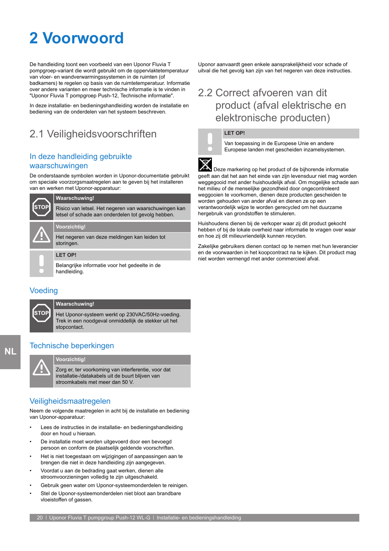## <span id="page-19-0"></span>**2 Voorwoord**

De handleiding toont een voorbeeld van een Uponor Fluvia T pompgroep-variant die wordt gebruikt om de oppervlaktetemperatuur van vloer- en wandverwarmingssystemen in de ruimten (of badkamers) te regelen op basis van de ruimtetemperatuur. Informatie over andere varianten en meer technische informatie is te vinden in "Uponor Fluvia T pompgroep Push-12, Technische informatie".

In deze installatie- en bedieningshandleiding worden de installatie en bediening van de onderdelen van het systeem beschreven.

### 2.1 Veiligheidsvoorschriften

### In deze handleiding gebruikte waarschuwingen

De onderstaande symbolen worden in Uponor-documentatie gebruikt om speciale voorzorgsmaatregelen aan te geven bij het installeren van en werken met Uponor-apparatuur:

| <b>STOP</b>  | <b>Waarschuwing!</b>                                                                                        |
|--------------|-------------------------------------------------------------------------------------------------------------|
|              | Risico van letsel. Het negeren van waarschuwingen kan<br>letsel of schade aan onderdelen tot gevolg hebben. |
| $\mathbf{A}$ | <b>Voorzichtig!</b>                                                                                         |
|              | Het negeren van deze meldingen kan leiden tot<br>storingen.                                                 |
|              | LET OP!                                                                                                     |

Belangrijke informatie voor het gedeelte in de handleiding.

### Voeding



#### **Waarschuwing!**

Het Uponor-systeem werkt op 230VAC/50Hz-voeding. Trek in een noodgeval onmiddellijk de stekker uit het stopcontact.

### Technische beperkingen



#### **Voorzichtig!**

Zorg er, ter voorkoming van interferentie, voor dat installatie-/datakabels uit de buurt blijven van stroomkabels met meer dan 50 V.

### Veiligheidsmaatregelen

Neem de volgende maatregelen in acht bij de installatie en bediening van Uponor-apparatuur:

- Lees de instructies in de installatie- en bedieningshandleiding door en houd u hieraan.
- De installatie moet worden uitgevoerd door een bevoegd persoon en conform de plaatselijk geldende voorschriften.
- Het is niet toegestaan om wijzigingen of aanpassingen aan te brengen die niet in deze handleiding zijn aangegeven.
- Voordat u aan de bedrading gaat werken, dienen alle stroomvoorzieningen volledig te zijn uitgeschakeld.
- Gebruik geen water om Uponor-systeemonderdelen te reinigen.
- Stel de Uponor-systeemonderdelen niet bloot aan brandbare vloeistoffen of gassen.

Uponor aanvaardt geen enkele aansprakelijkheid voor schade of uitval die het gevolg kan zijn van het negeren van deze instructies.

### 2.2 Correct afvoeren van dit product (afval elektrische en elektronische producten)



### **LET OP!**

Van toepassing in de Europese Unie en andere Europese landen met gescheiden inzamelsystemen.



 Deze markering op het product of de bijhorende informatie geeft aan dat het aan het einde van zijn levensduur niet mag worden weggegooid met ander huishoudelijk afval. Om mogelijke schade aan het milieu of de menselijke gezondheid door ongecontroleerd weggooien te voorkomen, dienen deze producten gescheiden te worden gehouden van ander afval en dienen ze op een verantwoordelijk wijze te worden gerecycled om het duurzame hergebruik van grondstoffen te stimuleren.

Huishoudens dienen bij de verkoper waar zij dit product gekocht hebben of bij de lokale overheid naar informatie te vragen over waar en hoe zij dit milieuvriendelijk kunnen recyclen.

Zakelijke gebruikers dienen contact op te nemen met hun leverancier en de voorwaarden in het koopcontract na te kijken. Dit product mag niet worden vermengd met ander commercieel afval.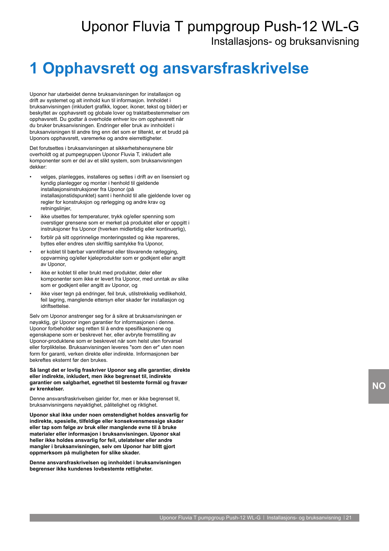## Uponor Fluvia T pumpgroup Push-12 WL-G

Installasjons- og bruksanvisning

## <span id="page-20-0"></span>**1 Opphavsrett og ansvarsfraskrivelse**

Uponor har utarbeidet denne bruksanvisningen for installasjon og drift av systemet og alt innhold kun til informasjon. Innholdet i bruksanvisningen (inkludert grafikk, logoer, ikoner, tekst og bilder) er beskyttet av opphavsrett og globale lover og traktatbestemmelser om opphavsrett. Du godtar å overholde enhver lov om opphavsrett når du bruker bruksanvisningen. Endringer eller bruk av innholdet i bruksanvisningen til andre ting enn det som er tiltenkt, er et brudd på Uponors opphavsrett, varemerke og andre eierrettigheter.

Det forutsettes i bruksanvisningen at sikkerhetshensynene blir overholdt og at pumpegruppen Uponor Fluvia T, inkludert alle komponenter som er del av et slikt system, som bruksanvisningen dekker:

- velges, planlegges, installeres og settes i drift av en lisensiert og kyndig planlegger og montør i henhold til gjeldende installasjonsinstruksjoner fra Uponor (på installasjonstidspunktet) samt i henhold til alle gjeldende lover og regler for konstruksjon og rørlegging og andre krav og retningslinjer
- ikke utsettes for temperaturer, trykk og/eller spenning som overstiger grensene som er merket på produktet eller er oppgitt i instruksjoner fra Uponor (hverken midlertidig eller kontinuerlig),
- forblir på sitt opprinnelige monteringssted og ikke repareres, byttes eller endres uten skriftlig samtykke fra Uponor,
- er koblet til bærbar vanntilførsel eller tilsvarende rørlegging, oppvarming og/eller kjøleprodukter som er godkjent eller angitt av Uponor,
- ikke er koblet til eller brukt med produkter, deler eller komponenter som ikke er levert fra Uponor, med unntak av slike som er godkjent eller angitt av Uponor, og
- ikke viser tegn på endringer, feil bruk, utilstrekkelig vedlikehold, feil lagring, manglende ettersyn eller skader før installasjon og idriftsettelse.

Selv om Uponor anstrenger seg for å sikre at bruksanvisningen er nøyaktig, gir Uponor ingen garantier for informasjonen i denne. Uponor forbeholder seg retten til å endre spesifikasjonene og egenskapene som er beskrevet her, eller avbryte fremstilling av Uponor-produktene som er beskrevet når som helst uten forvarsel eller forpliktelse. Bruksanvisningen leveres "som den er" uten noen form for garanti, verken direkte eller indirekte. Informasjonen bør bekreftes eksternt før den brukes.

**Så langt det er lovlig fraskriver Uponor seg alle garantier, direkte eller indirekte, inkludert, men ikke begrenset til, indirekte garantier om salgbarhet, egnethet til bestemte formål og fravær av krenkelser.**

Denne ansvarsfraskrivelsen gjelder for, men er ikke begrenset til, bruksanvisningens nøyaktighet, pålitelighet og riktighet.

**Uponor skal ikke under noen omstendighet holdes ansvarlig for indirekte, spesielle, tilfeldige eller konsekvensmessige skader eller tap som følge av bruk eller manglende evne til å bruke materialer eller informasjon i bruksanvisningen. Uponor skal heller ikke holdes ansvarlig for feil, utelatelser eller andre mangler i bruksanvisningen, selv om Uponor har blitt gjort oppmerksom på muligheten for slike skader.**

**Denne ansvarsfraskrivelsen og innholdet i bruksanvisningen begrenser ikke kundenes lovbestemte rettigheter.**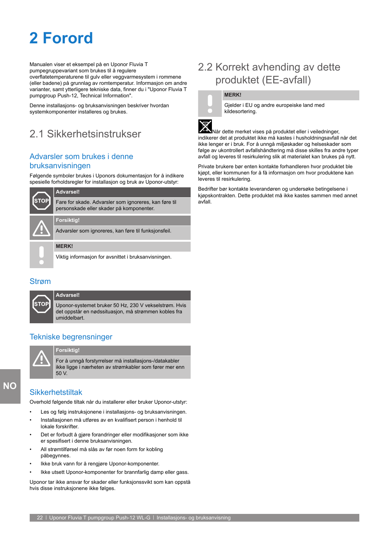## <span id="page-21-0"></span>**2 Forord**

Manualen viser et eksempel på en Uponor Fluvia T pumpegruppevariant som brukes til å regulere overflatetemperaturene til gulv eller veggvarmesystem i rommene (eller badene) på grunnlag av romtemperatur. Informasjon om andre varianter, samt ytterligere tekniske data, finner du i "Uponor Fluvia T pumpgroup Push-12, Technical Information".

Denne installasjons- og bruksanvisningen beskriver hvordan systemkomponenter installeres og brukes.

### 2.1 Sikkerhetsinstrukser

### Advarsler som brukes i denne bruksanvisningen

Følgende symboler brukes i Uponors dokumentasjon for å indikere spesielle forholdsregler for installasjon og bruk av Uponor-utstyr:



### Strøm



#### **Advarsel!**

Uponor-systemet bruker 50 Hz, 230 V vekselstrøm. Hvis det oppstår en nødssituasjon, må strømmen kobles fra umiddelbart.

### Tekniske begrensninger



**NO**

### **Sikkerhetstiltak**

Overhold følgende tiltak når du installerer eller bruker Uponor-utstyr:

- Les og følg instruksjonene i installasjons- og bruksanvisningen.
- Installasjonen må utføres av en kvalifisert person i henhold til lokale forskrifter.
- Det er forbudt å gjøre forandringer eller modifikasjoner som ikke er spesifisert i denne bruksanvisningen.
- All strømtilførsel må slås av før noen form for kobling påbegynnes.
- Ikke bruk vann for å rengjøre Uponor-komponenter.
- Ikke utsett Uponor-komponenter for brannfarlig damp eller gass.

Uponor tar ikke ansvar for skader eller funksjonssvikt som kan oppstå hvis disse instruksjonene ikke følges.

### 2.2 Korrekt avhending av dette produktet (EE-avfall)

#### **MERK!**



Gjelder i EU og andre europeiske land med kildesortering.

Når dette merket vises på produktet eller i veiledninger, indikerer det at produktet ikke må kastes i husholdningsavfall når det ikke lenger er i bruk. For å unngå miljøskader og helseskader som følge av ukontrollert avfallshåndtering må disse skilles fra andre typer avfall og leveres til resirkulering slik at materialet kan brukes på nytt.

Private brukere bør enten kontakte forhandleren hvor produktet ble kjøpt, eller kommunen for å få informasjon om hvor produktene kan leveres til resirkulering.

Bedrifter bør kontakte leverandøren og undersøke betingelsene i kjøpskontrakten. Dette produktet må ikke kastes sammen med annet avfall.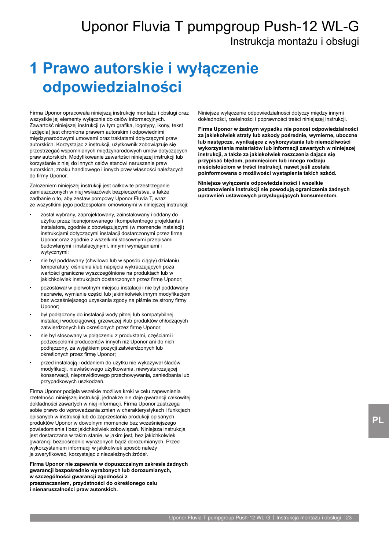### Uponor Fluvia T pumpgroup Push-12 WL-G Instrukcja montażu i obsługi

## <span id="page-22-0"></span>**1 Prawo autorskie i wyłączenie odpowiedzialności**

Firma Uponor opracowała niniejszą instrukcję montażu i obsługi oraz wszystkie jej elementy wyłącznie do celów informacyjnych. Zawartość niniejszej instrukcji (w tym grafika, logotypy, ikony, tekst i zdjęcia) jest chroniona prawem autorskim i odpowiednimi międzynarodowymi umowami oraz traktatami dotyczącymi praw autorskich. Korzystając z instrukcji, użytkownik zobowiązuje się przestrzegać wspomnianych międzynarodowych umów dotyczących praw autorskich. Modyfikowanie zawartości niniejszej instrukcji lub korzystanie z niej do innych celów stanowi naruszenie praw autorskich, znaku handlowego i innych praw własności należących do firmy Uponor.

Założeniem niniejszej instrukcji jest całkowite przestrzeganie zamieszczonych w niej wskazówek bezpieczeństwa, a także zadbanie o to, aby zestaw pompowy Uponor Fluvia T, wraz ze wszystkimi jego podzespołami omówionymi w niniejszej instrukcji:

- został wybrany, zaprojektowany, zainstalowany i oddany do użytku przez licencjonowanego i kompetentnego projektanta i instalatora, zgodnie z obowiązującymi (w momencie instalacji) instrukcjami dotyczącymi instalacji dostarczonymi przez firmę Uponor oraz zgodnie z wszelkimi stosownymi przepisami budowlanymi i instalacyjnymi, innymi wymaganiami i wytycznymi;
- nie był poddawany (chwilowo lub w sposób ciągły) działaniu temperatury, ciśnienia i/lub napięcia wykraczających poza wartości graniczne wyszczególnione na produktach lub w jakichkolwiek instrukcjach dostarczonych przez firmę Uponor;
- pozostawał w pierwotnym miejscu instalacji i nie był poddawany naprawie, wymianie części lub jakimkolwiek innym modyfikacjom bez wcześniejszego uzyskania zgody na piśmie ze strony firmy Uponor;
- był podłączony do instalacji wody pitnej lub kompatybilnej instalacji wodociągowej, grzewczej i/lub produktów chłodzących zatwierdzonych lub określonych przez firmę Uponor;
- nie był stosowany w połączeniu z produktami, częściami i podzespołami producentów innych niż Uponor ani do nich podłączony, za wyjątkiem pozycji zatwierdzonych lub określonych przez firmę Uponor;
- przed instalacją i oddaniem do użytku nie wykazywał śladów modyfikacji, niewłaściwego użytkowania, niewystarczającej konserwacji, nieprawidłowego przechowywania, zaniedbania lub przypadkowych uszkodzeń.

Firma Uponor podjęła wszelkie możliwe kroki w celu zapewnienia rzetelności niniejszej instrukcji, jednakże nie daje gwarancji całkowitej dokładności zawartych w niej informacji. Firma Uponor zastrzega sobie prawo do wprowadzania zmian w charakterystykach i funkcjach opisanych w instrukcji lub do zaprzestania produkcji opisanych produktów Uponor w dowolnym momencie bez wcześniejszego powiadomienia i bez jakichkolwiek zobowiązań. Niniejsza instrukcja jest dostarczana w takim stanie, w jakim jest, bez jakichkolwiek gwarancji bezpośrednio wyrażonych bądź dorozumianych. Przed wykorzystaniem informacji w jakikolwiek sposób należy je zweryfikować, korzystając z niezależnych źródeł.

**Firma Uponor nie zapewnia w dopuszczalnym zakresie żadnych gwarancji bezpośrednio wyrażonych lub dorozumianych, w szczególności gwarancji zgodności z przeznaczeniem, przydatności do określonego celu i nienaruszalności praw autorskich.**

Niniejsze wyłączenie odpowiedzialności dotyczy między innymi dokładności, rzetelności i poprawności treści niniejszej instrukcji.

**Firma Uponor w żadnym wypadku nie ponosi odpowiedzialności za jakiekolwiek straty lub szkody pośrednie, wymierne, uboczne lub następcze, wynikające z wykorzystania lub niemożliwości wykorzystania materiałów lub informacji zawartych w niniejszej instrukcji, a także za jakiekolwiek roszczenia dające się przypisać błędom, pominięciom lub innego rodzaju nieścisłościom w treści instrukcji, nawet jeśli została poinformowana o możliwości wystąpienia takich szkód.**

**Niniejsze wyłączenie odpowiedzialności i wszelkie postanowienia instrukcji nie powodują ograniczenia żadnych uprawnień ustawowych przysługujących konsumentom.**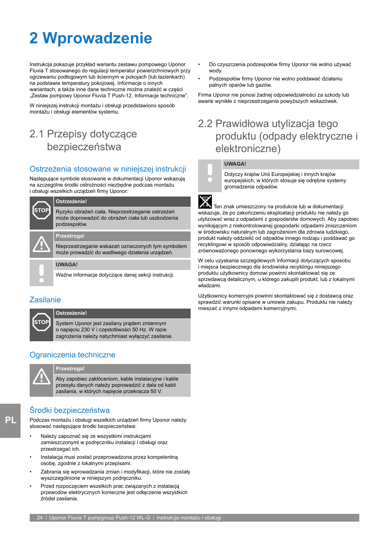## <span id="page-23-0"></span>**2 Wprowadzenie**

Instrukcja pokazuje przykład wariantu zestawu pompowego Uponor Fluvia T stosowanego do regulacji temperatur powierzchniowych przy ogrzewaniu podłogowym lub ściennym w pokojach (lub łazienkach) na podstawie temperatury pokojowej. Informacje o innych wariantach, a także inne dane techniczne można znaleźć w części "Zestaw pompowy Uponor Fluvia T Push-12, Informacje techniczne".

W niniejszej instrukcji montażu i obsługi przedstawiono sposób montażu i obsługi elementów systemu.

### 2.1 Przepisy dotyczące bezpieczeństwa

### Ostrzeżenia stosowane w niniejszej instrukcji

Następujące symbole stosowane w dokumentacji Uponor wskazują na szczególne środki ostrożności niezbędne podczas montażu i obsługi wszelkich urządzeń firmy Uponor:

| Q |
|---|
|   |

#### może doprowadzić do obrażeń ciała lub uszkodzenia podzespołów.

**Ostrzeżenie!**

**Przestroga!**

Nieprzestrzeganie wskazań oznaczonych tym symbolem może prowadzić do wadliwego działania urządzeń.

#### **UWAGA!**

Ważne informacje dotyczące danej sekcji instrukcji.

Ryzyko obrażeń ciała. Nieprzestrzeganie ostrzeżeń

### Zasilanie



### **Ostrzeżenie!**

System Uponor jest zasilany prądem zmiennym o napięciu 230 V i częstotliwości 50 Hz. W razie zagrożenia należy natychmiast wyłączyć zasilanie.

### Ograniczenia techniczne



#### **Przestroga!**

Aby zapobiec zakłóceniom, kable instalacyjne i kable przesyłu danych należy poprowadzić z dala od kabli zasilania, w których napięcie przekracza 50 V.

### Środki bezpieczeństwa

Podczas montażu i obsługi wszelkich urządzeń firmy Uponor należy stosować następujące środki bezpieczeństwa:

- Należy zapoznać się ze wszystkimi instrukcjami zamieszczonymi w podręczniku instalacji i obsługi oraz przestrzegać ich.
- Instalacja musi zostać przeprowadzona przez kompetentną osobę, zgodnie z lokalnymi przepisami.
- Zabrania się wprowadzania zmian i modyfikacji, które nie zostały wyszczególnione w niniejszym podręczniku.
- Przed rozpoczęciem wszelkich prac związanych z instalacją przewodów elektrycznych konieczne jest odłączenie wszystkich źródeł zasilania.
- Do czyszczenia podzespołów firmy Uponor nie wolno używać wody.
- Podzespołów firmy Uponor nie wolno poddawać działaniu palnych oparów lub gazów.

Firma Uponor nie ponosi żadnej odpowiedzialności za szkody lub awarie wynikłe z nieprzestrzegania powyższych wskazówek.

### 2.2 Prawidłowa utylizacja tego produktu (odpady elektryczne i elektroniczne)

#### **UWAGA!**

Dotyczy krajów Unii Europejskiej i innych krajów europejskich, w których stosuje się odrębne systemy gromadzenia odpadów.

 Ten znak umieszczony na produkcie lub w dokumentacji wskazuje, że po zakończeniu eksploatacji produktu nie należy go utylizować wraz z odpadami z gospodarstw domowych. Aby zapobiec wynikającym z niekontrolowanej gospodarki odpadami zniszczeniom w środowisku naturalnym lub zagrożeniom dla zdrowia ludzkiego, produkt należy oddzielić od odpadów innego rodzaju i poddawać go recyklingowi w sposób odpowiedzialny, działając na rzecz zrównoważonego ponownego wykorzystania bazy surowcowej.

W celu uzyskania szczegółowych informacji dotyczących sposobu i miejsca bezpiecznego dla środowiska recyklingu niniejszego produktu użytkownicy domowi powinni skontaktować się ze sprzedawcą detalicznym, u którego zakupili produkt, lub z lokalnymi władzami.

Użytkownicy komercyjni powinni skontaktować się z dostawcą oraz sprawdzić warunki opisane w umowie zakupu. Produktu nie należy mieszać z innymi odpadami komercyjnymi.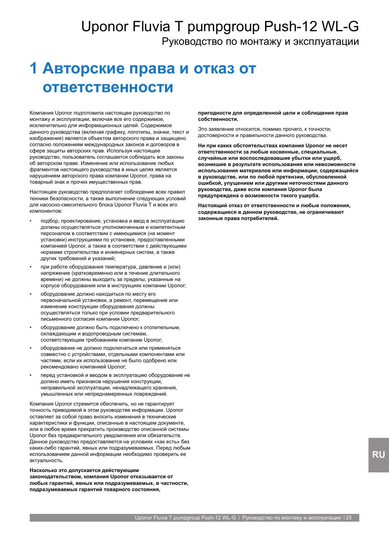## <span id="page-24-0"></span>**1 Авторские права и отказ от ответственности**

Компания Uponor подготовила настоящее руководство по монтажу и эксплуатации, включая все его содержимое, исключительно для информационных целей. Содержимое данного руководства (включая графику, логотипы, значки, текст и изображения) является объектом авторского права и защищено согласно положениям международных законов и договоров в сфере защиты авторских прав. Используя настоящее руководство, пользователь соглашается соблюдать все законы об авторском праве. Изменение или использование любых фрагментов настоящего руководства в иных целях является нарушением авторского права компании Uponor, права на товарный знак и прочих имущественных прав.

Настоящее руководство предполагает соблюдение всех правил техники безопасности, а также выполнение следующих условий для насосно-смесительного блока Uponor Fluvia T и всех его компонентов:

- подбор, проектирование, установка и ввод в эксплуатацию должны осуществляться уполномоченным и компетентным персоналом в соответствии с имеющимися (на момент установки) инструкциями по установке, предоставленными компанией Uponor, а также в соответствии с действующими нормами строительства и инженерных систем, а также других требований и указаний;
- при работе оборудования температура, давление и (или) напряжение (кратковременно или в течение длительного времени) не должны выходить за пределы, указанные на корпусе оборудования или в инструкциях компании Uponor;
- оборудование должно находиться по месту его первоначальной установки, а ремонт, перемещение или изменение конструкции оборудования должны осуществляться только при условии предварительного письменного согласия компании Uponor;
- оборудование должно быть подключено к отопительным, охлаждающим и водопроводным системам, соответствующим требованиям компании Uponor;
- оборудование не должно подключаться или применяться совместно с устройствами, отдельными компонентами или частями, если их использование не было одобрено или рекомендовано компанией Uponor;
- перед установкой и вводом в эксплуатацию оборудование не должно иметь признаков нарушения конструкции, неправильной эксплуатации, ненадлежащего хранения, умышленных или непреднамеренных повреждений.

Компания Uponor стремится обеспечить, но не гарантирует точность приводимой в этом руководстве информации. Uponor оставляет за собой право вносить изменения в технические характеристики и функции, описанные в настоящем документе, или в любое время прекратить производство описанной системы Uponor без предварительного уведомления или обязательств. Данное руководство предоставляется на условиях «как есть» без каких-либо гарантий, явных или подразумеваемых. Перед любым использованием данной информации необходимо проверить ее актуальность.

**Насколько это допускается действующим законодательством, компания Uponor отказывается от любых гарантий, явных или подразумеваемых, в частности, подразумеваемых гарантий товарного состояния,**

**пригодности для определенной цели и соблюдения прав собственности.**

Это заявление относится, помимо прочего, к точности, достоверности и правильности данного руководства.

**Ни при каких обстоятельствах компания Uponor не несет ответственности за любые косвенные, специальные, случайные или воспоследовавшие убытки или ущерб, возникшие в результате использования или невозможности использования материалов или информации, содержащейся в руководстве, или по любой претензии, обусловленной ошибкой, упущением или другими неточностями данного руководства, даже если компания Uponor была предупреждена о возможности такого ущерба.**

**Настоящий отказ от ответственности и любые положения, содержащиеся в данном руководстве, не ограничивают законные права потребителей.**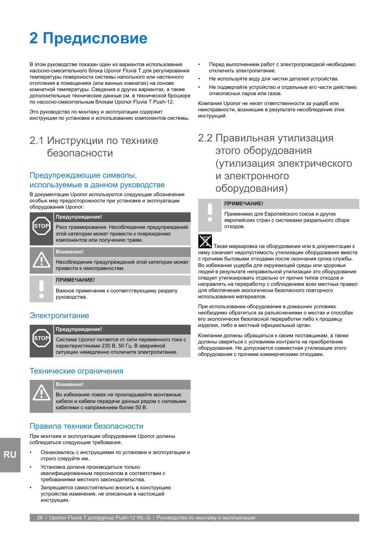## <span id="page-25-0"></span>**2 Предисловие**

В этом руководстве показан один из вариантов использования насосно-смесительного блока Uponor Fluvia T для регулирования температуры поверхности системы напольного или настенного отопления в помещениях (или ванных комнатах) на основе комнатной температуры. Сведения о других вариантах, а также дополнительные технические данные см. в технической брошюре по насосно-смесительным блокам Uponor Fluvia T Push-12.

Это руководство по монтажу и эксплуатации содержит инструкции по установке и использованию компонентов системы.

### 2.1 Инструкции по технике безопасности

### Предупреждающие символы, используемые в данном руководстве

В документации Uponor используются следующие обозначения особых мер предосторожности при установке и эксплуатации оборудования Uponor:



### **Предупреждение!**

Риск травмирования. Несоблюдение предупреждений этой категории может привести к повреждению компонентов или получению травм.



#### **Внимание!**

Несоблюдение предупреждений этой категории может привести к неисправностям.

#### **ПРИМЕЧАНИЕ!**

Важное примечание к соответствующему разделу руководства.

### Электропитание



#### **Предупреждение!**

Система Uponor питается от сети переменного тока с характеристиками 230 В, 50 Гц. В аварийной ситуации немедленно отключите электропитание.

### Технические ограничения



#### **Внимание!**

Во избежание помех не прокладывайте монтажные кабели и кабели передачи данных рядом с силовыми кабелями с напряжением более 50 В.

### Правила техники безопасности

При монтаже и эксплуатации оборудования Uponor должны соблюдаться следующие требования.

- Ознакомьтесь с инструкциями по установке и эксплуатации и строго следуйте им.
- Установка должна производиться только квалифицированным персоналом в соответствии с требованиями местного законодательства.
- Запрещается самостоятельно вносить в конструкцию устройства изменения, не описанные в настоящей инструкции.
- Перед выполнением работ с электропроводкой необходимо отключить электропитание.
- Не используйте воду для чистки деталей устройства.
- Не подвергайте устройство и отдельные его части действию огнеопасных паров или газов.

Компания Uponor не несет ответственности за ущерб или неисправности, возникшие в результате несоблюдения этих инструкций.

### 2.2 Правильная утилизация этого оборудования (утилизация электрического и электронного оборудования)

### **ПРИМЕЧАНИЕ!**

Применимо для Европейского союза и других европейских стран с системами раздельного сбора отходов.



 Такая маркировка на оборудовании или в документации к нему означает недопустимость утилизации оборудования вместе с прочими бытовыми отходами после окончания срока службы. Во избежание ущерба для окружающей среды или здоровья людей в результате неправильной утилизации это оборудование следует утилизировать отдельно от прочих типов отходов и направлять на переработку с соблюдением всех местных правил для обеспечения экологически безопасного повторного использования материалов.

При использовании оборудования в домашних условиях необходимо обратиться за разъяснениями о местах и способах его экологически безопасной переработки либо к продавцу изделия, либо в местный официальный орган.

Компании должны обращаться к своим поставщикам, а также должны сверяться с условиями контракта на приобретение оборудования. Не допускается совместная утилизация этого оборудования с прочими коммерческими отходами.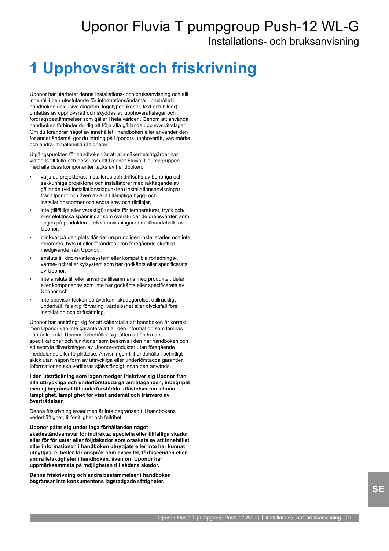## Uponor Fluvia T pumpgroup Push-12 WL-G

Installations- och bruksanvisning

## <span id="page-26-0"></span>**1 Upphovsrätt och friskrivning**

Uponor har utarbetat denna installations- och bruksanvisning och allt innehåll i den uteslutande för informationsändamål. Innehållet i handboken (inklusive diagram, logotyper, ikoner, text och bilder) omfattas av upphovsrätt och skyddas av upphovsrättslagar och fördragsbestämmelser som gäller i hela världen. Genom att använda handboken förbinder du dig att följa alla gällande upphovsrättslagar. Om du förändrar något av innehållet i handboken eller använder den för annat ändamål gör du intrång på Uponors upphovsrätt, varumärke och andra immateriella rättigheter.

Utgångspunkten för handboken är att alla säkerhetsåtgärder har vidtagits till fullo och dessutom att Uponor Fluvia T-pumpgruppen med alla dess komponenter täcks av handboken:

- väljs ut, projekteras, installeras och driftsätts av behöriga och sakkunniga projektörer och installatörer med iakttagande av gällande (vid installationstidpunkten) installationsanvisningar från Uponor och även av alla tillämpliga bygg- och installationsnormer och andra krav och riktlinjer,
- inte (tillfälligt eller varaktigt) utsätts för temperaturer, tryck och/ eller elektriska spänningar som överskrider de gränsvärden som anges på produkterna eller i anvisningar som tillhandahålls av Uponor,
- blir kvar på den plats där det ursprungligen installerades och inte repareras, byts ut eller förändras utan föregående skriftligt medgivande från Uponor,
- ansluts till dricksvattensystem eller kompatibla rörlednings-, värme- och/eller kylsystem som har godkänts eller specificerats av Uponor,
- inte ansluts till eller används tillsammans med produkter, delar eller komponenter som inte har godkänts eller specificerats av Uponor och
- inte uppvisar tecken på åverkan, skadegörelse, otillräckligt underhåll, felaktig förvaring, vårdslöshet eller olycksfall före installation och driftsättning.

Uponor har ansträngt sig för att säkerställa att handboken är korrekt, men Uponor kan inte garantera att all den information som lämnas häri är korrekt. Uponor förbehåller sig rätten att ändra de specifikationer och funktioner som beskrivs i den här handboken och att avbryta tillverkningen av Uponor-produkter utan föregående meddelande eller förpliktelse. Anvisningen tillhandahålls i befintligt skick utan någon form av uttryckliga eller underförstådda garantier. Informationen ska verifieras självständigt innan den används.

**I den utsträckning som lagen medger friskriver sig Uponor från alla uttryckliga och underförstådda garantiåtaganden, inbegripet men ej begränsat till underförstådda utfästelser om allmän lämplighet, lämplighet för visst ändamål och frånvaro av överträdelser.**

Denna friskrivning avser men är inte begränsad till handbokens vederhäftighet, tillförlitlighet och felfrihet.

**Uponor påtar sig under inga förhållanden något skadeståndsansvar för indirekta, speciella eller tillfälliga skador eller för förluster eller följdskador som orsakats av att innehållet eller informationen i handboken utnyttjats eller inte har kunnat utnyttjas, ej heller för anspråk som avser fel, förbiseenden eller andra felaktigheter i handboken, även om Uponor har uppmärksammats på möjligheten till sådana skador.**

**Denna friskrivning och andra bestämmelser i handboken begränsar inte konsumentens lagstadgade rättigheter.**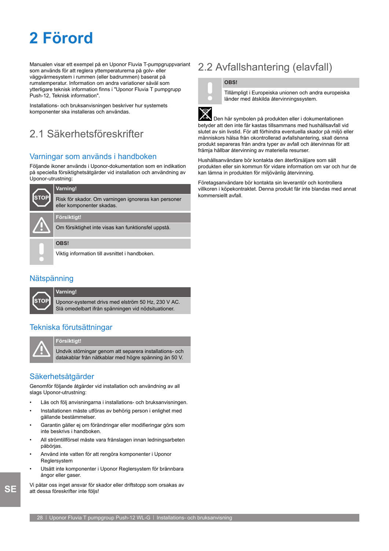## <span id="page-27-0"></span>**2 Förord**

Manualen visar ett exempel på en Uponor Fluvia T-pumpgruppvariant som används för att reglera yttemperaturerna på golv- eller väggvärmesystem i rummen (eller badrummen) baserat på rumstemperatur. Information om andra variationer såväl som ytterligare teknisk information finns i "Uponor Fluvia T pumpgrupp Push-12, Teknisk information".

Installations- och bruksanvisningen beskriver hur systemets komponenter ska installeras och användas.

### 2.1 Säkerhetsföreskrifter

### Varningar som används i handboken

Följande ikoner används i Uponor-dokumentation som en indikation på speciella försiktighetsåtgärder vid installation och användning av Uponor-utrustning:

| <b>STOP</b> | <b>Varning!</b>                                                                   |  |  |  |  |
|-------------|-----------------------------------------------------------------------------------|--|--|--|--|
|             | Risk för skador. Om varningen ignoreras kan personer<br>eller komponenter skadas. |  |  |  |  |
| / <u>!</u>  | Försiktigt!                                                                       |  |  |  |  |
|             | Om försiktighet inte visas kan funktionsfel uppstå.                               |  |  |  |  |
|             | <b>OBS!</b>                                                                       |  |  |  |  |
|             | Viktig information till avsnittet i handboken.                                    |  |  |  |  |

### Nätspänning



### **Varning!**

Uponor-systemet drivs med elström 50 Hz, 230 V AC. Slå omedelbart ifrån spänningen vid nödsituationer.

### Tekniska förutsättningar



#### **Försiktigt!**

Undvik störningar genom att separera installations- och datakablar från nätkablar med högre spänning än 50 V.

### Säkerhetsåtgärder

Genomför följande åtgärder vid installation och användning av all slags Uponor-utrustning:

- Läs och följ anvisningarna i installations- och bruksanvisningen.
- Installationen måste utföras av behörig person i enlighet med gällande bestämmelser.
- Garantin gäller ej om förändringar eller modifieringar görs som inte beskrivs i handboken.
- All strömtillförsel måste vara frånslagen innan ledningsarbeten påbörjas.
- Använd inte vatten för att rengöra komponenter i Uponor Reglersystem
- Utsätt inte komponenter i Uponor Reglersystem för brännbara ångor eller gaser.

Vi påtar oss inget ansvar för skador eller driftstopp som orsakas av att dessa föreskrifter inte följs!

### 2.2 Avfallshantering (elavfall)

### **OBS!**



Tillämpligt i Europeiska unionen och andra europeiska länder med åtskilda återvinningssystem.

 Den här symbolen på produkten eller i dokumentationen betyder att den inte får kastas tillsammans med hushållsavfall vid slutet av sin livstid. För att förhindra eventuella skador på miljö eller människors hälsa från okontrollerad avfallshantering, skall denna produkt separeras från andra typer av avfall och återvinnas för att främja hållbar återvinning av materiella resurser.

Hushållsanvändare bör kontakta den återförsäljare som sålt produkten eller sin kommun för vidare information om var och hur de kan lämna in produkten för miljövänlig återvinning.

Företagsanvändare bör kontakta sin leverantör och kontrollera villkoren i köpekontraktet. Denna produkt får inte blandas med annat kommersiellt avfall.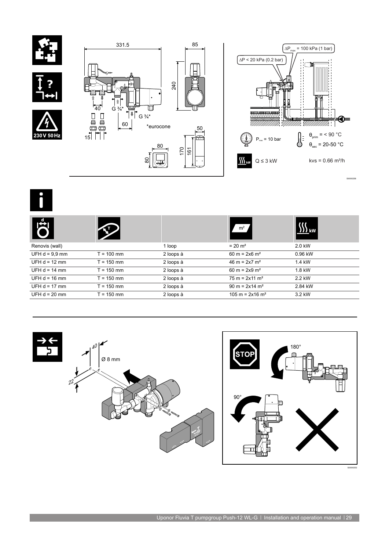<span id="page-28-0"></span>











| Ú                |                    |           | m <sup>2</sup>              | kW      |  |
|------------------|--------------------|-----------|-----------------------------|---------|--|
| Renovis (wall)   |                    | 1 loop    | $= 20 \text{ m}^2$          | 2.0 kW  |  |
| UFH $d = 9.9$ mm | $= 100$ mm         | 2 loops à | 60 m = $2x6$ m <sup>2</sup> | 0.96 kW |  |
| UFH $d = 12$ mm  | $T = 150$ mm       | 2 loops à | 46 m = $2x7$ m <sup>2</sup> | 1.4 kW  |  |
| UFH $d = 14$ mm  | $= 150$ mm         | 2 loops à | 60 m = $2x9$ m <sup>2</sup> | 1.8 kW  |  |
| UFH $d = 16$ mm  | $T = 150$ mm       | 2 loops à | $75 m = 2x11 m2$            | 2.2 kW  |  |
| UFH $d = 17$ mm  | $= 150 \text{ mm}$ | 2 loops à | $90 m = 2x14 m2$            | 2.84 kW |  |
| UFH $d = 20$ mm  | $= 150$ mm         | 2 loops à | $105 m = 2x16 m2$           | 3.2 kW  |  |
|                  |                    |           |                             |         |  |

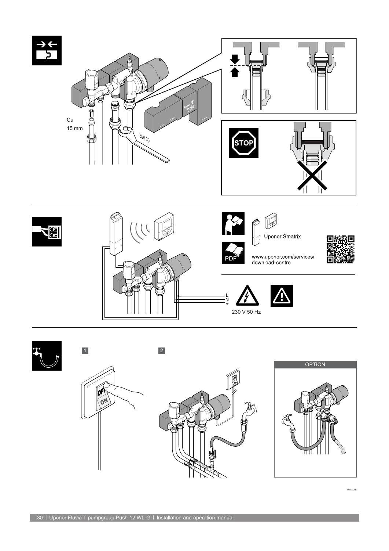





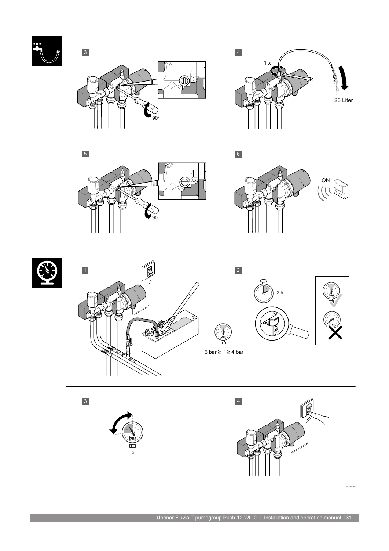







20 Liter







₩ 6 bar ≥ P ≥ 4 bar



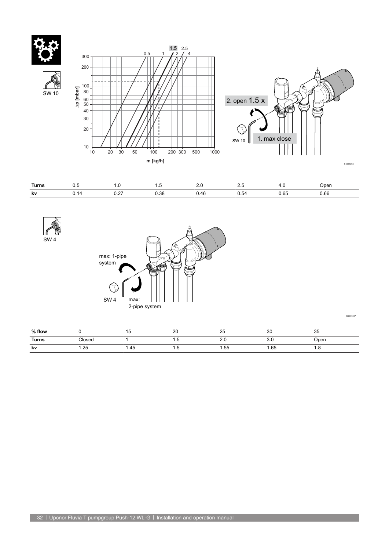



| % flow                 |                  | ''   | $\sim$<br>∠ບ<br>$\sim$ | $\sim$ $\sim$<br>ںے<br>$\sim$ | 20<br>vu      | $\sim$<br>ິ     |
|------------------------|------------------|------|------------------------|-------------------------------|---------------|-----------------|
| <b>Turns</b><br>------ | $\bigcirc$ loseo |      | <br>$\sim$             | Z.U<br>$\sim$                 | $\sim$<br>v.v | Open            |
| k۷.                    | .25              | . 45 | ن ،                    | $- -$<br>l.55                 | . 65ء         | $\cdot$ $\cdot$ |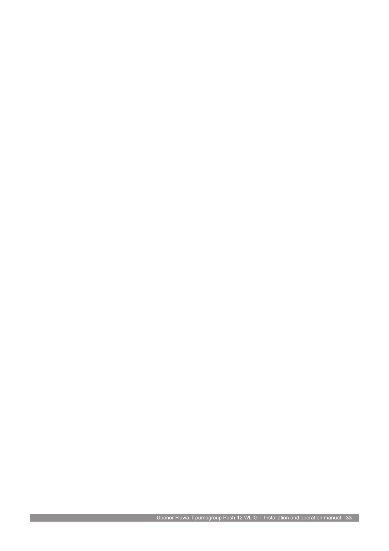the control of the control of the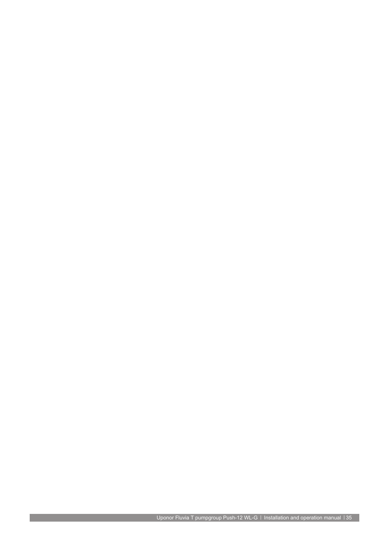the control of the control of the